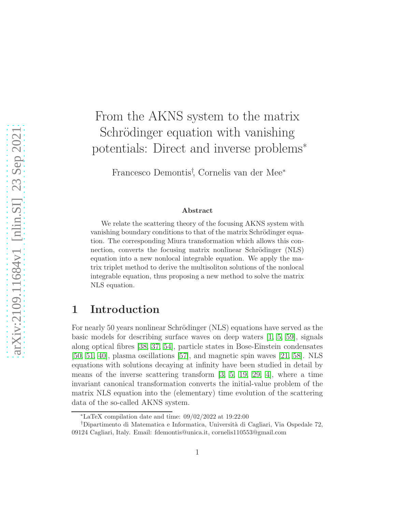# From the AKNS system to the matrix Schrödinger equation with vanishing potentials: Direct and inverse problems<sup>∗</sup>

Francesco Demontis† , Cornelis van der Mee<sup>∗</sup>

#### Abstract

We relate the scattering theory of the focusing AKNS system with vanishing boundary conditions to that of the matrix Schrödinger equation. The corresponding Miura transformation which allows this connection, converts the focusing matrix nonlinear Schrödinger (NLS) equation into a new nonlocal integrable equation. We apply the matrix triplet method to derive the multisoliton solutions of the nonlocal integrable equation, thus proposing a new method to solve the matrix NLS equation.

### 1 Introduction

For nearly 50 years nonlinear Schrödinger (NLS) equations have served as the basic models for describing surface waves on deep waters  $(1, 5, 59)$  $(1, 5, 59)$  $(1, 5, 59)$ , signals along optical fibres [\[38,](#page-41-0) [37,](#page-41-1) [54\]](#page-42-1), particle states in Bose-Einstein condensates [\[50,](#page-42-2) [51,](#page-42-3) [40\]](#page-41-2), plasma oscillations [\[57\]](#page-42-4), and magnetic spin waves [\[21,](#page-39-0) [58\]](#page-42-5). NLS equations with solutions decaying at infinity have been studied in detail by means of the inverse scattering transform [\[3,](#page-38-2) [5,](#page-38-1) [19,](#page-39-1) [29,](#page-40-0) [4\]](#page-38-3), where a time invariant canonical transformation converts the initial-value problem of the matrix NLS equation into the (elementary) time evolution of the scattering data of the so-called AKNS system.

<sup>∗</sup>LaTeX compilation date and time: 09/02/2022 at 19:22:00

<sup>†</sup>Dipartimento di Matematica e Informatica, Universit`a di Cagliari, Via Ospedale 72, 09124 Cagliari, Italy. Email: fdemontis@unica.it, cornelis110553@gmail.com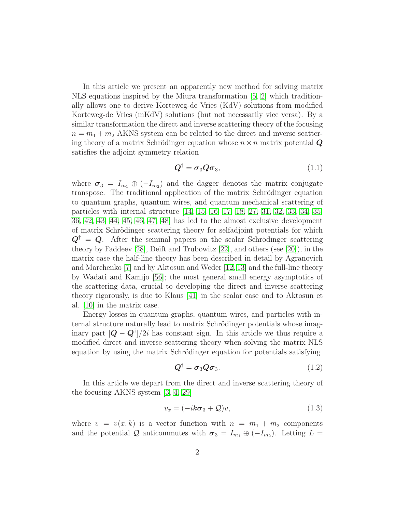In this article we present an apparently new method for solving matrix NLS equations inspired by the Miura transformation [\[5,](#page-38-1) [2\]](#page-38-4) which traditionally allows one to derive Korteweg-de Vries (KdV) solutions from modified Korteweg-de Vries (mKdV) solutions (but not necessarily vice versa). By a similar transformation the direct and inverse scattering theory of the focusing  $n = m_1 + m_2$  AKNS system can be related to the direct and inverse scattering theory of a matrix Schrödinger equation whose  $n \times n$  matrix potential  $\boldsymbol{Q}$ satisfies the adjoint symmetry relation

$$
\mathbf{Q}^{\dagger} = \boldsymbol{\sigma}_3 \mathbf{Q} \boldsymbol{\sigma}_3, \tag{1.1}
$$

where  $\sigma_3 = I_{m_1} \oplus (-I_{m_2})$  and the dagger denotes the matrix conjugate transpose. The traditional application of the matrix Schrödinger equation to quantum graphs, quantum wires, and quantum mechanical scattering of particles with internal structure [\[14,](#page-39-2) [15,](#page-39-3) [16,](#page-39-4) [17,](#page-39-5) [18,](#page-39-6) [27,](#page-40-1) [31,](#page-40-2) [32,](#page-40-3) [33,](#page-40-4) [34,](#page-40-5) [35,](#page-41-3) [36,](#page-41-4) [42,](#page-41-5) [43,](#page-41-6) [44,](#page-41-7) [45,](#page-41-8) [46,](#page-41-9) [47,](#page-42-6) [48\]](#page-42-7) has led to the almost exclusive development of matrix Schrödinger scattering theory for selfadjoint potentials for which  $Q^{\dagger} = Q$ . After the seminal papers on the scalar Schrödinger scattering theory by Faddeev [\[28\]](#page-40-6), Deift and Trubowitz [\[22\]](#page-39-7), and others (see [\[20\]](#page-39-8)), in the matrix case the half-line theory has been described in detail by Agranovich and Marchenko [\[7\]](#page-38-5) and by Aktosun and Weder [\[12,](#page-39-9) [13\]](#page-39-10) and the full-line theory by Wadati and Kamijo [\[56\]](#page-42-8); the most general small energy asymptotics of the scattering data, crucial to developing the direct and inverse scattering theory rigorously, is due to Klaus [\[41\]](#page-41-10) in the scalar case and to Aktosun et al. [\[10\]](#page-38-6) in the matrix case.

Energy losses in quantum graphs, quantum wires, and particles with internal structure naturally lead to matrix Schrödinger potentials whose imaginary part  $[Q - Q^{\dagger}]/2i$  has constant sign. In this article we thus require a modified direct and inverse scattering theory when solving the matrix NLS equation by using the matrix Schrödinger equation for potentials satisfying

<span id="page-1-1"></span>
$$
\mathbf{Q}^{\dagger} = \boldsymbol{\sigma}_3 \mathbf{Q} \boldsymbol{\sigma}_3. \tag{1.2}
$$

In this article we depart from the direct and inverse scattering theory of the focusing AKNS system [\[3,](#page-38-2) [4,](#page-38-3) [29\]](#page-40-0)

<span id="page-1-0"></span>
$$
v_x = (-ik\sigma_3 + \mathcal{Q})v,\tag{1.3}
$$

where  $v = v(x, k)$  is a vector function with  $n = m_1 + m_2$  components and the potential Q anticommutes with  $\sigma_3 = I_{m_1} \oplus (-I_{m_2})$ . Letting  $L =$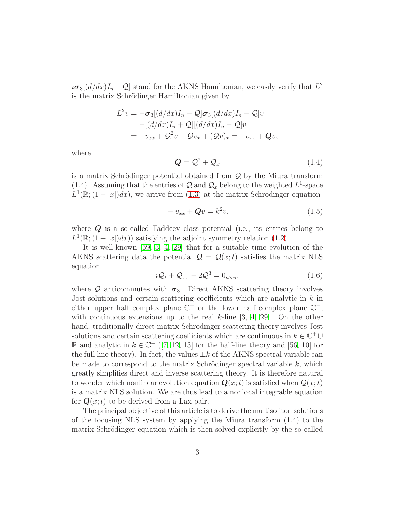$i\sigma_3[(d/dx)I_n - \mathcal{Q}]$  stand for the AKNS Hamiltonian, we easily verify that  $L^2$ is the matrix Schrödinger Hamiltonian given by

$$
L^2v = -\sigma_3[(d/dx)I_n - \mathcal{Q}]\sigma_3[(d/dx)I_n - \mathcal{Q}]v
$$
  
= -[(d/dx)I\_n + \mathcal{Q}][(d/dx)I\_n - \mathcal{Q}]v  
= -v\_{xx} + \mathcal{Q}^2v - \mathcal{Q}v\_x + (\mathcal{Q}v)\_x = -v\_{xx} + \mathcal{Q}v,

where

<span id="page-2-0"></span>
$$
Q = \mathcal{Q}^2 + \mathcal{Q}_x \tag{1.4}
$$

is a matrix Schrödinger potential obtained from  $\mathcal Q$  by the Miura transform [\(1.4\)](#page-2-0). Assuming that the entries of  $\mathcal{Q}$  and  $\mathcal{Q}_x$  belong to the weighted  $L^1$ -space  $L^1(\mathbb{R};(1+|x|)dx)$ , we arrive from [\(1.3\)](#page-1-0) at the matrix Schrödinger equation

<span id="page-2-1"></span>
$$
-v_{xx} + \mathbf{Q}v = k^2 v,\tag{1.5}
$$

where  $Q$  is a so-called Faddeev class potential (i.e., its entries belong to  $L^1(\mathbb{R};(1+|x|)dx)$  satisfying the adjoint symmetry relation [\(1.2\)](#page-1-1).

It is well-known [\[59,](#page-42-0) [3,](#page-38-2) [4,](#page-38-3) [29\]](#page-40-0) that for a suitable time evolution of the AKNS scattering data the potential  $\mathcal{Q} = \mathcal{Q}(x;t)$  satisfies the matrix NLS equation

<span id="page-2-2"></span>
$$
i\mathcal{Q}_t + \mathcal{Q}_{xx} - 2\mathcal{Q}^3 = 0_{n \times n},\tag{1.6}
$$

where Q anticommutes with  $\sigma_3$ . Direct AKNS scattering theory involves Jost solutions and certain scattering coefficients which are analytic in  $k$  in either upper half complex plane  $\mathbb{C}^+$  or the lower half complex plane  $\mathbb{C}^-$ , with continuous extensions up to the real  $k$ -line  $[3, 4, 29]$  $[3, 4, 29]$  $[3, 4, 29]$ . On the other hand, traditionally direct matrix Schrödinger scattering theory involves Jost solutions and certain scattering coefficients which are continuous in  $k \in \mathbb{C}^+ \cup$ R and analytic in  $k \in \mathbb{C}^+$  ([\[7,](#page-38-5) [12,](#page-39-9) [13\]](#page-39-10) for the half-line theory and [\[56,](#page-42-8) [10\]](#page-38-6) for the full line theory). In fact, the values  $\pm k$  of the AKNS spectral variable can be made to correspond to the matrix Schrödinger spectral variable  $k$ , which greatly simplifies direct and inverse scattering theory. It is therefore natural to wonder which nonlinear evolution equation  $Q(x;t)$  is satisfied when  $Q(x;t)$ is a matrix NLS solution. We are thus lead to a nonlocal integrable equation for  $Q(x;t)$  to be derived from a Lax pair.

The principal objective of this article is to derive the multisoliton solutions of the focusing NLS system by applying the Miura transform [\(1.4\)](#page-2-0) to the matrix Schrödinger equation which is then solved explicitly by the so-called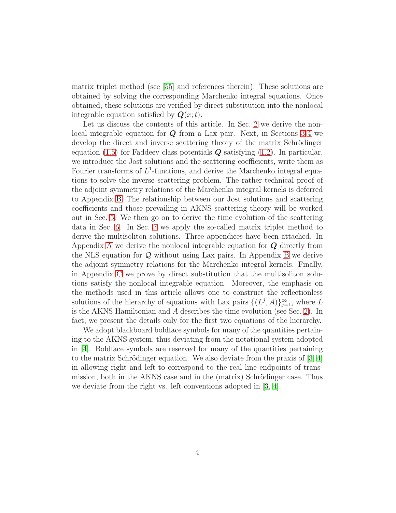matrix triplet method (see [\[55\]](#page-42-9) and references therein). These solutions are obtained by solving the corresponding Marchenko integral equations. Once obtained, these solutions are verified by direct substitution into the nonlocal integrable equation satisfied by  $Q(x;t)$ .

Let us discuss the contents of this article. In Sec. [2](#page-4-0) we derive the nonlocal integrable equation for  $Q$  from a Lax pair. Next, in Sections [3](#page-5-0)[-4](#page-13-0) we develop the direct and inverse scattering theory of the matrix Schrödinger equation [\(1.5\)](#page-2-1) for Faddeev class potentials  $Q$  satisfying [\(1.2\)](#page-1-1). In particular, we introduce the Jost solutions and the scattering coefficients, write them as Fourier transforms of  $L^1$ -functions, and derive the Marchenko integral equations to solve the inverse scattering problem. The rather technical proof of the adjoint symmetry relations of the Marchenko integral kernels is deferred to Appendix [B.](#page-28-0) The relationship between our Jost solutions and scattering coefficients and those prevailing in AKNS scattering theory will be worked out in Sec. [5.](#page-17-0) We then go on to derive the time evolution of the scattering data in Sec. [6.](#page-19-0) In Sec. [7](#page-24-0) we apply the so-called matrix triplet method to derive the multisoliton solutions. Three appendices have been attached. In Appendix [A](#page-27-0) we derive the nonlocal integrable equation for Q directly from the NLS equation for Q without using Lax pairs. In Appendix [B](#page-28-0) we derive the adjoint symmetry relations for the Marchenko integral kernels. Finally, in Appendix [C](#page-33-0) we prove by direct substitution that the multisoliton solutions satisfy the nonlocal integrable equation. Moreover, the emphasis on the methods used in this article allows one to construct the reflectionless solutions of the hierarchy of equations with Lax pairs  $\{(L^j, A)\}_{j=1}^{\infty}$ , where L is the AKNS Hamiltonian and A describes the time evolution (see Sec. [2\)](#page-4-0). In fact, we present the details only for the first two equations of the hierarchy.

We adopt blackboard boldface symbols for many of the quantities pertaining to the AKNS system, thus deviating from the notational system adopted in [\[4\]](#page-38-3). Boldface symbols are reserved for many of the quantities pertaining to the matrix Schrödinger equation. We also deviate from the praxis of  $[3, 4]$  $[3, 4]$ in allowing right and left to correspond to the real line endpoints of transmission, both in the AKNS case and in the (matrix) Schrödinger case. Thus we deviate from the right vs. left conventions adopted in [\[3,](#page-38-2) [4\]](#page-38-3).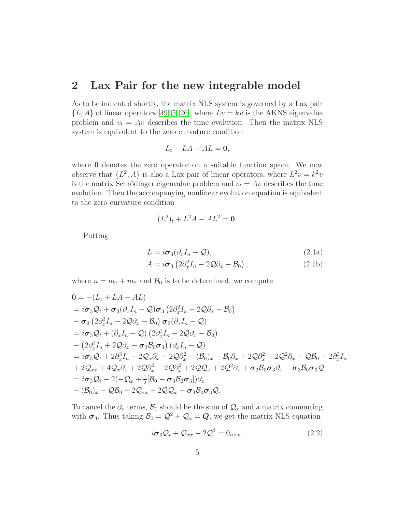### <span id="page-4-0"></span>2 Lax Pair for the new integrable model

As to be indicated shortly, the matrix NLS system is governed by a Lax pair  ${L, A}$  of linear operators [\[49,](#page-42-10) [5,](#page-38-1) [26\]](#page-40-7), where  $Lv = kv$  is the AKNS eigenvalue problem and  $v_t = Av$  describes the time evolution. Then the matrix NLS system is equivalent to the zero curvature condition

$$
L_t + LA - AL = 0,
$$

where **0** denotes the zero operator on a suitable function space. We now observe that  $\{L^2, A\}$  is also a Lax pair of linear operators, where  $L^2 v = k^2 v$ is the matrix Schrödinger eigenvalue problem and  $v_t = Av$  describes the time evolution. Then the accompanying nonlinear evolution equation is equivalent to the zero curvature condition

$$
(L^2)_t + L^2 A - A L^2 = 0.
$$

<span id="page-4-2"></span>Putting

$$
L = i\sigma_3(\partial_x I_n - \mathcal{Q}),
$$
  
\n
$$
A = i\sigma_3 \left(2\partial_x^2 I_n - 2\mathcal{Q}\partial_x - \mathcal{B}_0\right),
$$
\n(2.1b)

where  $n = m_1 + m_2$  and  $\mathcal{B}_0$  is to be determined, we compute

$$
0 = -(L_t + LA - AL)
$$
  
\n
$$
= i\sigma_3 Q_t + \sigma_3 (\partial_x I_n - Q) \sigma_3 (2 \partial_x^2 I_n - 2Q \partial_x - B_0)
$$
  
\n
$$
- \sigma_3 (2 \partial_x^2 I_n - 2Q \partial_x - B_0) \sigma_3 (\partial_x I_n - Q)
$$
  
\n
$$
= i\sigma_3 Q_t + (\partial_x I_n + Q) (2 \partial_x^2 I_n - 2Q \partial_x - B_0)
$$
  
\n
$$
- (2 \partial_x^2 I_n + 2Q \partial_x - \sigma_3 B_0 \sigma_3) (\partial_x I_n - Q)
$$
  
\n
$$
= i\sigma_3 Q_t + 2 \partial_x^3 I_n - 2Q_x \partial_x - 2Q \partial_x^2 - (B_0)_x - B_0 \partial_x + 2Q \partial_x^2 - 2Q^2 \partial_x - QB_0 - 2 \partial_x^3 I_n
$$
  
\n
$$
+ 2Q_{xx} + 4Q_x \partial_x + 2Q \partial_x^2 - 2Q \partial_x^2 + 2Q Q_x + 2Q^2 \partial_x + \sigma_3 B_0 \sigma_3 \partial_x - \sigma_3 B_0 \sigma_3 Q
$$
  
\n
$$
= i\sigma_3 Q_t - 2(-Q_x + \frac{1}{2}[B_0 - \sigma_3 B_0 \sigma_3]) \partial_x
$$
  
\n
$$
- (B_0)_x - QB_0 + 2Q_{xx} + 2Q Q_x - \sigma_3 B_0 \sigma_3 Q
$$
.

To cancel the  $\partial_x$  terms,  $\mathcal{B}_0$  should be the sum of  $\mathcal{Q}_x$  and a matrix commuting with  $\sigma_3$ . Thus taking  $\mathcal{B}_0 = \mathcal{Q}^2 + \mathcal{Q}_x = \mathcal{Q}$ , we get the matrix NLS equation

<span id="page-4-1"></span>
$$
i\sigma_3 Q_t + Q_{xx} - 2Q^3 = 0_{n \times n}.
$$
\n(2.2)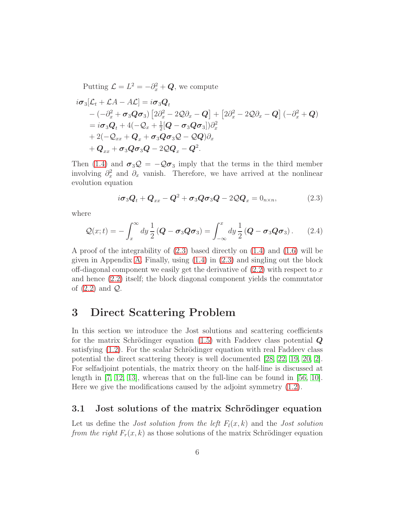Putting  $\mathcal{L} = L^2 = -\partial_x^2 + \mathbf{Q}$ , we compute

$$
i\sigma_3[\mathcal{L}_t + \mathcal{L}A - A\mathcal{L}] = i\sigma_3 \mathbf{Q}_t
$$
  
\n
$$
-(-\partial_x^2 + \sigma_3 \mathbf{Q} \sigma_3) [2\partial_x^2 - 2\mathbf{Q}\partial_x - \mathbf{Q}] + [2\partial_x^2 - 2\mathbf{Q}\partial_x - \mathbf{Q}] (-\partial_x^2 + \mathbf{Q})
$$
  
\n
$$
= i\sigma_3 \mathbf{Q}_t + 4(-\mathbf{Q}_x + \frac{1}{2}[\mathbf{Q} - \sigma_3 \mathbf{Q}\sigma_3])\partial_x^2
$$
  
\n
$$
+ 2(-\mathbf{Q}_{xx} + \mathbf{Q}_x + \sigma_3 \mathbf{Q}\sigma_3 \mathbf{Q} - \mathbf{Q}\mathbf{Q})\partial_x
$$
  
\n
$$
+ \mathbf{Q}_{xx} + \sigma_3 \mathbf{Q}\sigma_3 \mathbf{Q} - 2\mathbf{Q}\mathbf{Q}_x - \mathbf{Q}^2.
$$

Then [\(1.4\)](#page-2-0) and  $\sigma_3 \mathcal{Q} = -\mathcal{Q} \sigma_3$  imply that the terms in the third member involving  $\partial_x^2$  and  $\partial_x$  vanish. Therefore, we have arrived at the nonlinear evolution equation

<span id="page-5-1"></span>
$$
i\boldsymbol{\sigma}_3 \boldsymbol{Q}_t + \boldsymbol{Q}_{xx} - \boldsymbol{Q}^2 + \boldsymbol{\sigma}_3 \boldsymbol{Q} \boldsymbol{\sigma}_3 \boldsymbol{Q} - 2 \boldsymbol{Q} \boldsymbol{Q}_x = 0_{n \times n}, \qquad (2.3)
$$

where

$$
Q(x;t) = -\int_x^{\infty} dy \frac{1}{2} \left( \boldsymbol{Q} - \boldsymbol{\sigma}_3 \boldsymbol{Q} \boldsymbol{\sigma}_3 \right) = \int_{-\infty}^x dy \frac{1}{2} \left( \boldsymbol{Q} - \boldsymbol{\sigma}_3 \boldsymbol{Q} \boldsymbol{\sigma}_3 \right). \tag{2.4}
$$

A proof of the integrability of [\(2.3\)](#page-5-1) based directly on [\(1.4\)](#page-2-0) and [\(1.6\)](#page-2-2) will be given in Appendix [A.](#page-27-0) Finally, using [\(1.4\)](#page-2-0) in [\(2.3\)](#page-5-1) and singling out the block off-diagonal component we easily get the derivative of  $(2.2)$  with respect to x and hence [\(2.2\)](#page-4-1) itself; the block diagonal component yields the commutator of  $(2.2)$  and  $\mathcal{Q}$ .

### <span id="page-5-0"></span>3 Direct Scattering Problem

In this section we introduce the Jost solutions and scattering coefficients for the matrix Schrödinger equation  $(1.5)$  with Faddeev class potential  $\boldsymbol{Q}$ satisfying  $(1.2)$ . For the scalar Schrödinger equation with real Faddeev class potential the direct scattering theory is well documented [\[28,](#page-40-6) [22,](#page-39-7) [19,](#page-39-1) [20,](#page-39-8) [2\]](#page-38-4). For selfadjoint potentials, the matrix theory on the half-line is discussed at length in [\[7,](#page-38-5) [12,](#page-39-9) [13\]](#page-39-10), whereas that on the full-line can be found in [\[56,](#page-42-8) [10\]](#page-38-6). Here we give the modifications caused by the adjoint symmetry [\(1.2\)](#page-1-1).

#### 3.1 Jost solutions of the matrix Schrödinger equation

Let us define the *Jost solution from the left*  $F_l(x, k)$  and the *Jost solution* from the right  $F_r(x, k)$  as those solutions of the matrix Schrödinger equation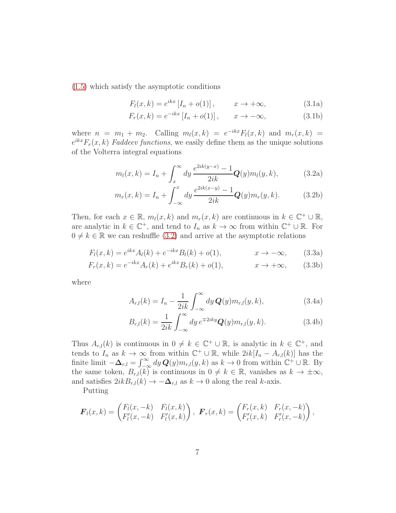[\(1.5\)](#page-2-1) which satisfy the asymptotic conditions

<span id="page-6-1"></span>
$$
F_l(x,k) = e^{ikx} \left[ I_n + o(1) \right], \qquad x \to +\infty,
$$
 (3.1a)

<span id="page-6-0"></span>
$$
F_r(x,k) = e^{-ikx} \left[ I_n + o(1) \right], \qquad x \to -\infty,
$$
 (3.1b)

where  $n = m_1 + m_2$ . Calling  $m_l(x, k) = e^{-ikx} F_l(x, k)$  and  $m_r(x, k) =$  $e^{ikx}F_r(x, k)$  Faddeev functions, we easily define them as the unique solutions of the Volterra integral equations

$$
m_l(x,k) = I_n + \int_x^{\infty} dy \, \frac{e^{2ik(y-x)} - 1}{2ik} \mathbf{Q}(y) m_l(y,k), \tag{3.2a}
$$

$$
m_r(x,k) = I_n + \int_{-\infty}^x dy \frac{e^{2ik(x-y)} - 1}{2ik} \mathbf{Q}(y) m_r(y,k).
$$
 (3.2b)

Then, for each  $x \in \mathbb{R}$ ,  $m_l(x, k)$  and  $m_r(x, k)$  are continuous in  $k \in \mathbb{C}^+ \cup \mathbb{R}$ , are analytic in  $k \in \mathbb{C}^+$ , and tend to  $I_n$  as  $k \to \infty$  from within  $\mathbb{C}^+ \cup \mathbb{R}$ . For  $0 \neq k \in \mathbb{R}$  we can reshuffle [\(3.2\)](#page-6-0) and arrive at the asymptotic relations

$$
F_l(x,k) = e^{ikx} A_l(k) + e^{-ikx} B_l(k) + o(1), \qquad x \to -\infty,
$$
 (3.3a)

<span id="page-6-2"></span>
$$
F_r(x,k) = e^{-ikx} A_r(k) + e^{ikx} B_r(k) + o(1), \qquad x \to +\infty,
$$
 (3.3b)

where

<span id="page-6-3"></span>
$$
A_{r,l}(k) = I_n - \frac{1}{2ik} \int_{-\infty}^{\infty} dy \, \mathbf{Q}(y) m_{r,l}(y, k), \tag{3.4a}
$$

$$
B_{r,l}(k) = \frac{1}{2ik} \int_{-\infty}^{\infty} dy \, e^{\mp 2iky} \mathbf{Q}(y) m_{r,l}(y, k). \tag{3.4b}
$$

Thus  $A_{r,l}(k)$  is continuous in  $0 \neq k \in \mathbb{C}^+ \cup \mathbb{R}$ , is analytic in  $k \in \mathbb{C}^+$ , and tends to  $I_n$  as  $k \to \infty$  from within  $\mathbb{C}^+ \cup \mathbb{R}$ , while  $2ik[I_n - A_{r,l}(k)]$  has the finite limit  $-\Delta_{r,l} = \int_{-\infty}^{\infty} dy \, \mathbf{Q}(y) m_{r,l}(y, k)$  as  $k \to 0$  from within  $\mathbb{C}^+ \cup \mathbb{R}$ . By the same token,  $B_{r,l}(k)$  is continuous in  $0 \neq k \in \mathbb{R}$ , vanishes as  $k \to \pm \infty$ , and satisfies  $2ikB_{r,l}(k) \rightarrow -\Delta_{r,l}$  as  $k \rightarrow 0$  along the real k-axis.

Putting

$$
\boldsymbol{F}_l(x,k) = \begin{pmatrix} F_l(x,-k) & F_l(x,k) \\ F'_l(x,-k) & F'_l(x,k) \end{pmatrix}, \ \boldsymbol{F}_r(x,k) = \begin{pmatrix} F_r(x,k) & F_r(x,-k) \\ F'_r(x,k) & F'_r(x,-k) \end{pmatrix},
$$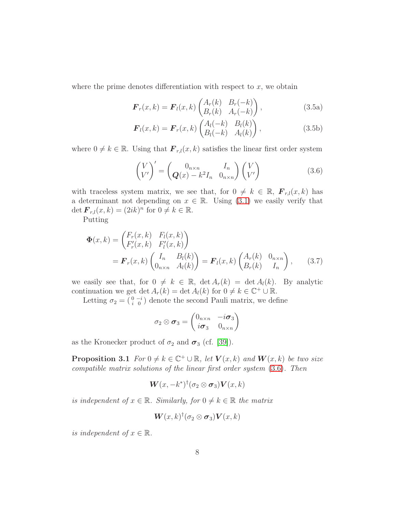where the prime denotes differentiation with respect to  $x$ , we obtain

<span id="page-7-2"></span>
$$
\boldsymbol{F}_r(x,k) = \boldsymbol{F}_l(x,k) \begin{pmatrix} A_r(k) & B_r(-k) \\ B_r(k) & A_r(-k) \end{pmatrix},\tag{3.5a}
$$

$$
\boldsymbol{F}_l(x,k) = \boldsymbol{F}_r(x,k) \begin{pmatrix} A_l(-k) & B_l(k) \\ B_l(-k) & A_l(k) \end{pmatrix},\tag{3.5b}
$$

where  $0 \neq k \in \mathbb{R}$ . Using that  $\mathbf{F}_{r,l}(x, k)$  satisfies the linear first order system

<span id="page-7-0"></span>
$$
\begin{pmatrix} V \\ V' \end{pmatrix}' = \begin{pmatrix} 0_{n \times n} & I_n \\ Q(x) - k^2 I_n & 0_{n \times n} \end{pmatrix} \begin{pmatrix} V \\ V' \end{pmatrix}
$$
 (3.6)

with traceless system matrix, we see that, for  $0 \neq k \in \mathbb{R}$ ,  $\mathbf{F}_{r,l}(x, k)$  has a determinant not depending on  $x \in \mathbb{R}$ . Using [\(3.1\)](#page-6-1) we easily verify that det  $\mathbf{F}_{r,l}(x,k) = (2ik)^n$  for  $0 \neq k \in \mathbb{R}$ .

Putting

$$
\Phi(x,k) = \begin{pmatrix} F_r(x,k) & F_l(x,k) \\ F'_r(x,k) & F'_l(x,k) \end{pmatrix}
$$
  
=  $\mathbf{F}_r(x,k) \begin{pmatrix} I_n & B_l(k) \\ 0_{n \times n} & A_l(k) \end{pmatrix} = \mathbf{F}_l(x,k) \begin{pmatrix} A_r(k) & 0_{n \times n} \\ B_r(k) & I_n \end{pmatrix},$  (3.7)

we easily see that, for  $0 \neq k \in \mathbb{R}$ ,  $\det A_r(k) = \det A_l(k)$ . By analytic continuation we get  $\det A_r(k) = \det A_l(k)$  for  $0 \neq k \in \mathbb{C}^+ \cup \mathbb{R}$ .

Letting  $\sigma_2 = \begin{pmatrix} 0 & -i \\ i & 0 \end{pmatrix}$  denote the second Pauli matrix, we define

$$
\sigma_2 \otimes \boldsymbol{\sigma}_3 = \begin{pmatrix} 0_{n \times n} & -i \boldsymbol{\sigma}_3 \\ i \boldsymbol{\sigma}_3 & 0_{n \times n} \end{pmatrix}
$$

<span id="page-7-1"></span>as the Kronecker product of  $\sigma_2$  and  $\sigma_3$  (cf. [\[39\]](#page-41-11)).

**Proposition 3.1** For  $0 \neq k \in \mathbb{C}^+ \cup \mathbb{R}$ , let  $V(x, k)$  and  $W(x, k)$  be two size compatible matrix solutions of the linear first order system [\(3.6\)](#page-7-0). Then

$$
\boldsymbol{W}(x,-k^*)^{\dagger}(\sigma_2 \otimes \boldsymbol{\sigma}_3) \boldsymbol{V}(x,k)
$$

is independent of  $x \in \mathbb{R}$ . Similarly, for  $0 \neq k \in \mathbb{R}$  the matrix

$$
\boldsymbol{W}(x,k)^{\dagger}(\sigma_2 \otimes \boldsymbol{\sigma}_3) \boldsymbol{V}(x,k)
$$

is independent of  $x \in \mathbb{R}$ .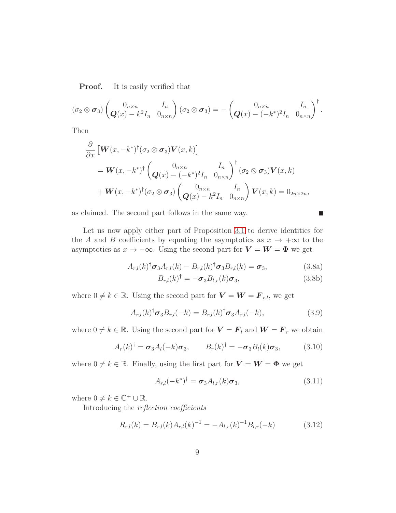**Proof.** It is easily verified that

$$
(\sigma_2 \otimes \boldsymbol{\sigma}_3) \begin{pmatrix} 0_{n \times n} & I_n \\ \boldsymbol{Q}(x) - k^2 I_n & 0_{n \times n} \end{pmatrix} (\sigma_2 \otimes \boldsymbol{\sigma}_3) = - \begin{pmatrix} 0_{n \times n} & I_n \\ \boldsymbol{Q}(x) - (-k^*)^2 I_n & 0_{n \times n} \end{pmatrix}^{\dagger}.
$$

Then

$$
\frac{\partial}{\partial x} \left[ \mathbf{W}(x, -k^*)^{\dagger} (\sigma_2 \otimes \sigma_3) \mathbf{V}(x, k) \right]
$$
\n
$$
= \mathbf{W}(x, -k^*)^{\dagger} \begin{pmatrix} 0_{n \times n} & I_n \\ \mathbf{Q}(x) - (-k^*)^2 I_n & 0_{n \times n} \end{pmatrix}^{\dagger} (\sigma_2 \otimes \sigma_3) \mathbf{V}(x, k)
$$
\n
$$
+ \mathbf{W}(x, -k^*)^{\dagger} (\sigma_2 \otimes \sigma_3) \begin{pmatrix} 0_{n \times n} & I_n \\ \mathbf{Q}(x) - k^2 I_n & 0_{n \times n} \end{pmatrix} \mathbf{V}(x, k) = 0_{2n \times 2n},
$$

as claimed. The second part follows in the same way.

Let us now apply either part of Proposition 3.1 to derive identities for  
the A and B coefficients by equating the asymptotics as 
$$
x \to +\infty
$$
 to the  
asymptotics as  $x \to -\infty$ . Using the second part for  $V = W = \Phi$  we get

$$
A_{r,l}(k)^{\dagger} \sigma_3 A_{r,l}(k) - B_{r,l}(k)^{\dagger} \sigma_3 B_{r,l}(k) = \sigma_3,
$$
\n(3.8a)

$$
B_{r,l}(k)^{\dagger} = -\sigma_3 B_{l,r}(k)\sigma_3,\tag{3.8b}
$$

П

where  $0 \neq k \in \mathbb{R}$ . Using the second part for  $\mathbf{V} = \mathbf{W} = \mathbf{F}_{r,l}$ , we get

$$
A_{r,l}(k)^{\dagger} \sigma_3 B_{r,l}(-k) = B_{r,l}(k)^{\dagger} \sigma_3 A_{r,l}(-k), \qquad (3.9)
$$

where  $0 \neq k \in \mathbb{R}$ . Using the second part for  $\mathbf{V} = \mathbf{F}_l$  and  $\mathbf{W} = \mathbf{F}_r$  we obtain

<span id="page-8-1"></span>
$$
A_r(k)^{\dagger} = \boldsymbol{\sigma}_3 A_l(-k) \boldsymbol{\sigma}_3, \qquad B_r(k)^{\dagger} = -\boldsymbol{\sigma}_3 B_l(k) \boldsymbol{\sigma}_3, \tag{3.10}
$$

where  $0 \neq k \in \mathbb{R}$ . Finally, using the first part for  $\mathbf{V} = \mathbf{W} = \mathbf{\Phi}$  we get

<span id="page-8-0"></span>
$$
A_{r,l}(-k^*)^{\dagger} = \boldsymbol{\sigma}_3 A_{l,r}(k) \boldsymbol{\sigma}_3, \qquad (3.11)
$$

where  $0 \neq k \in \mathbb{C}^+ \cup \mathbb{R}$ .

Introducing the reflection coefficients

<span id="page-8-2"></span>
$$
R_{r,l}(k) = B_{r,l}(k)A_{r,l}(k)^{-1} = -A_{l,r}(k)^{-1}B_{l,r}(-k)
$$
\n(3.12)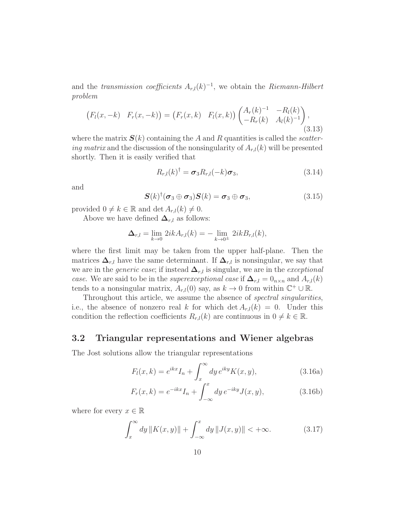and the *transmission coefficients*  $A_{r,l}(k)^{-1}$ , we obtain the *Riemann-Hilbert* problem

$$
(F_l(x, -k) \quad F_r(x, -k)) = (F_r(x, k) \quad F_l(x, k)) \begin{pmatrix} A_r(k)^{-1} & -R_l(k) \\ -R_r(k) & A_l(k)^{-1} \end{pmatrix},
$$
\n(3.13)

where the matrix  $S(k)$  containing the A and R quantities is called the *scatter*ing matrix and the discussion of the nonsingularity of  $A_{r,l}(k)$  will be presented shortly. Then it is easily verified that

<span id="page-9-2"></span>
$$
R_{r,l}(k)^{\dagger} = \sigma_3 R_{r,l}(-k) \sigma_3, \qquad (3.14)
$$

and

$$
\mathbf{S}(k)^{\dagger}(\boldsymbol{\sigma}_3 \oplus \boldsymbol{\sigma}_3) \mathbf{S}(k) = \boldsymbol{\sigma}_3 \oplus \boldsymbol{\sigma}_3, \tag{3.15}
$$

provided  $0 \neq k \in \mathbb{R}$  and det  $A_{r,l}(k) \neq 0$ .

Above we have defined  $\Delta_{r,l}$  as follows:

$$
\Delta_{r,l} = \lim_{k \to 0} 2ik A_{r,l}(k) = - \lim_{k \to 0^{\pm}} 2ik B_{r,l}(k),
$$

where the first limit may be taken from the upper half-plane. Then the matrices  $\Delta_{r,l}$  have the same determinant. If  $\Delta_{r,l}$  is nonsingular, we say that we are in the *generic case*; if instead  $\Delta_{r,l}$  is singular, we are in the *exceptional* case. We are said to be in the superexceptional case if  $\Delta_{r,l} = 0_{n \times n}$  and  $A_{r,l}(k)$ tends to a nonsingular matrix,  $A_{r,l}(0)$  say, as  $k \to 0$  from within  $\mathbb{C}^+ \cup \mathbb{R}$ .

Throughout this article, we assume the absence of *spectral singularities*, i.e., the absence of nonzero real k for which det  $A_{r,l}(k) = 0$ . Under this condition the reflection coefficients  $R_{r,l}(k)$  are continuous in  $0 \neq k \in \mathbb{R}$ .

#### 3.2 Triangular representations and Wiener algebras

The Jost solutions allow the triangular representations

<span id="page-9-0"></span>
$$
F_l(x,k) = e^{ikx} I_n + \int_x^{\infty} dy \, e^{iky} K(x,y), \qquad (3.16a)
$$

$$
F_r(x,k) = e^{-ikx} I_n + \int_{-\infty}^x dy \, e^{-iky} J(x,y), \tag{3.16b}
$$

where for every  $x \in \mathbb{R}$ 

<span id="page-9-1"></span>
$$
\int_{x}^{\infty} dy \, \|K(x, y)\| + \int_{-\infty}^{x} dy \, \|J(x, y)\| < +\infty.
$$
 (3.17)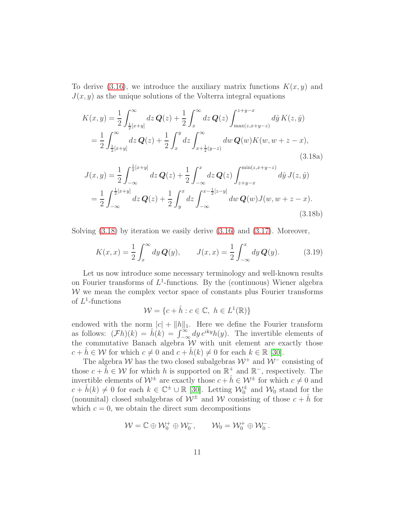To derive [\(3.16\)](#page-9-0), we introduce the auxiliary matrix functions  $K(x, y)$  and  $J(x, y)$  as the unique solutions of the Volterra integral equations

<span id="page-10-0"></span>
$$
K(x,y) = \frac{1}{2} \int_{\frac{1}{2}[x+y]}^{\infty} dz \, \mathbf{Q}(z) + \frac{1}{2} \int_{x}^{\infty} dz \, \mathbf{Q}(z) \int_{\max(z,x+y-z)}^{z+y-x} d\hat{y} \, K(z,\hat{y})
$$
  
\n
$$
= \frac{1}{2} \int_{\frac{1}{2}[x+y]}^{\infty} dz \, \mathbf{Q}(z) + \frac{1}{2} \int_{x}^{y} dz \int_{x+\frac{1}{2}(y-z)}^{\infty} dw \, \mathbf{Q}(w) K(w, w+z-x),
$$
\n(3.18a)  
\n
$$
J(x,y) = \frac{1}{2} \int_{-\infty}^{\frac{1}{2}[x+y]} dz \, \mathbf{Q}(z) + \frac{1}{2} \int_{-\infty}^{x} dz \, \mathbf{Q}(z) \int_{z+y-x}^{\min(z,x+y-z)} d\hat{y} \, J(z,\hat{y})
$$
  
\n
$$
= \frac{1}{2} \int_{-\infty}^{\frac{1}{2}[x+y]} dz \, \mathbf{Q}(z) + \frac{1}{2} \int_{y}^{x} dz \int_{-\infty}^{x-\frac{1}{2}[z-y]} dw \, \mathbf{Q}(w) J(w, w+z-x).
$$
\n(3.18b)

Solving [\(3.18\)](#page-10-0) by iteration we easily derive [\(3.16\)](#page-9-0) and [\(3.17\)](#page-9-1). Moreover,

<span id="page-10-1"></span>
$$
K(x,x) = \frac{1}{2} \int_x^{\infty} dy \, \mathbf{Q}(y), \qquad J(x,x) = \frac{1}{2} \int_{-\infty}^x dy \, \mathbf{Q}(y). \tag{3.19}
$$

Let us now introduce some necessary terminology and well-known results on Fourier transforms of  $L^1$ -functions. By the (continuous) Wiener algebra  $W$  we mean the complex vector space of constants plus Fourier transforms of  $L^1$ -functions

$$
\mathcal{W} = \{c + \hat{h} : c \in \mathbb{C}, \ h \in L^1(\mathbb{R})\}
$$

endowed with the norm  $|c| + ||h||_1$ . Here we define the Fourier transform as follows:  $(\mathcal{F}h)(k) = \hat{h}(k) = \int_{-\infty}^{\infty} dy e^{iky} h(y)$ . The invertible elements of the commutative Banach algebra  $W$  with unit element are exactly those  $c + h \in \mathcal{W}$  for which  $c \neq 0$  and  $c + h(k) \neq 0$  for each  $k \in \mathbb{R}$  [\[30\]](#page-40-8).

The algebra W has the two closed subalgebras  $W^+$  and  $W^-$  consisting of those  $c + \hat{h} \in \mathcal{W}$  for which h is supported on  $\mathbb{R}^+$  and  $\mathbb{R}^-$ , respectively. The invertible elements of  $\mathcal{W}^{\pm}$  are exactly those  $c + \hat{h} \in \mathcal{W}^{\pm}$  for which  $c \neq 0$  and  $c + \hat{h}(k) \neq 0$  for each  $k \in \mathbb{C}^{\pm} \cup \mathbb{R}$  [\[30\]](#page-40-8). Letting  $\mathcal{W}_0^{\pm}$  and  $\mathcal{W}_0$  stand for the (nonunital) closed subalgebras of  $W^{\pm}$  and W consisting of those  $c + \hat{h}$  for which  $c = 0$ , we obtain the direct sum decompositions

$$
\mathcal{W}=\mathbb{C}\oplus\mathcal{W}^+_0\oplus\mathcal{W}^-_0,\qquad\mathcal{W}_0=\mathcal{W}^+_0\oplus\mathcal{W}^-_0.
$$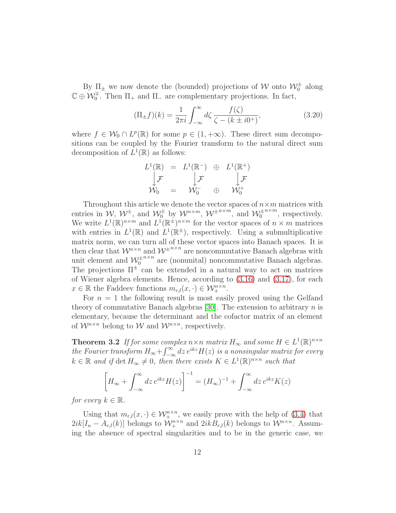By  $\Pi_{\pm}$  we now denote the (bounded) projections of W onto  $\mathcal{W}^{\pm}_{0}$  along  $\mathbb{C} \oplus \mathcal{W}_0^{\mp}$ . Then  $\Pi_+$  and  $\Pi_-$  are complementary projections. In fact,

$$
(\Pi_{\pm}f)(k) = \frac{1}{2\pi i} \int_{-\infty}^{\infty} d\zeta \frac{f(\zeta)}{\zeta - (k \pm i0^{+})},
$$
\n(3.20)

where  $f \in W_0 \cap L^p(\mathbb{R})$  for some  $p \in (1, +\infty)$ . These direct sum decompositions can be coupled by the Fourier transform to the natural direct sum decomposition of  $L^1(\mathbb{R})$  as follows:

$$
\begin{array}{ccc}L^1(\mathbb{R})&=&L^1(\mathbb{R}^-)&\oplus &L^1(\mathbb{R}^+)\\ \Big\downarrow \mathcal{F}&\Big\downarrow \mathcal{F}&\Big\downarrow \mathcal{F}\\ \mathcal{W}_0&=&\mathcal{W}_0^-\oplus &\mathcal{W}_0^+ \end{array}
$$

Throughout this article we denote the vector spaces of  $n \times m$  matrices with entries in  $W$ ,  $W^{\pm}$ , and  $W_0^{\pm}$  by  $W^{n \times m}$ ,  $W^{\pm n \times m}$ , and  $W_0^{\pm}$  $^{n \times m}$ , respectively. We write  $L^1(\mathbb{R})^{n \times m}$  and  $L^1(\mathbb{R}^{\pm})^{n \times m}$  for the vector spaces of  $n \times m$  matrices with entries in  $L^1(\mathbb{R})$  and  $L^1(\mathbb{R}^{\pm})$ , respectively. Using a submultiplicative matrix norm, we can turn all of these vector spaces into Banach spaces. It is then clear that  $\mathcal{W}^{n \times n}$  and  $\mathcal{W}^{\pm n \times n}$  are noncommutative Banach algebras with unit element and  $\mathcal{W}_0^{\pm}$  $n \times n$  are (nonunital) noncommutative Banach algebras. The projections  $\Pi^{\pm}$  can be extended in a natural way to act on matrices of Wiener algebra elements. Hence, according to [\(3.16\)](#page-9-0) and [\(3.17\)](#page-9-1), for each  $x \in \mathbb{R}$  the Faddeev functions  $m_{r,l}(x, \cdot) \in \mathcal{W}_+^{n \times n}$ .

For  $n = 1$  the following result is most easily proved using the Gelfand theory of commutative Banach algebras [\[30\]](#page-40-8). The extension to arbitrary  $n$  is elementary, because the determinant and the cofactor matrix of an element of  $\mathcal{W}^{n \times n}$  belong to  $\mathcal{W}$  and  $\mathcal{W}^{n \times n}$ , respectively.

<span id="page-11-0"></span>**Theorem 3.2** If for some complex  $n \times n$  matrix  $H_{\infty}$  and some  $H \in L^{1}(\mathbb{R})^{n \times n}$ the Fourier transform  $H_{\infty} + \int_{-\infty}^{\infty} dz e^{ikz} H(z)$  is a nonsingular matrix for every  $k \in \mathbb{R}$  and if  $\det H_{\infty} \neq 0$ , then there exists  $K \in L^{1}(\mathbb{R})^{n \times n}$  such that

$$
\left[H_{\infty} + \int_{-\infty}^{\infty} dz \, e^{ikz} H(z)\right]^{-1} = (H_{\infty})^{-1} + \int_{-\infty}^{\infty} dz \, e^{ikz} K(z)
$$

for every  $k \in \mathbb{R}$ .

Using that  $m_{r,l}(x, \cdot) \in \mathcal{W}_+^{n \times n}$ , we easily prove with the help of [\(3.4\)](#page-6-2) that  $2ik[I_n - A_{r,l}(k)]$  belongs to  $\mathcal{W}_+^{n \times n}$  and  $2ikB_{r,l}(k)$  belongs to  $\mathcal{W}_-^{n \times n}$ . Assuming the absence of spectral singularities and to be in the generic case, we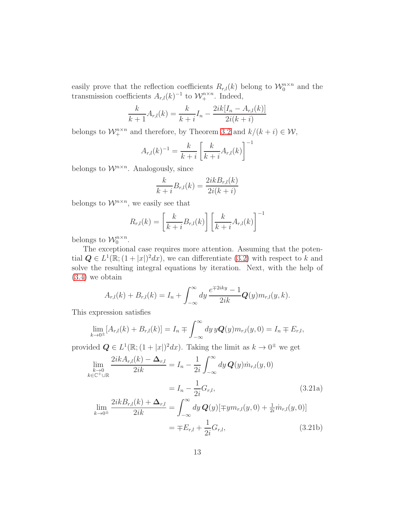easily prove that the reflection coefficients  $R_{r,l}(k)$  belong to  $\mathcal{W}_0^{n \times n}$  and the transmission coefficients  $A_{r,l}(k)^{-1}$  to  $\mathcal{W}_+^{n \times n}$ . Indeed,

$$
\frac{k}{k+1}A_{r,l}(k) = \frac{k}{k+i}I_n - \frac{2ik[I_n - A_{r,l}(k)]}{2i(k+i)}
$$

belongs to  $\mathcal{W}_+^{n \times n}$  and therefore, by Theorem [3.2](#page-11-0) and  $k/(k+i) \in \mathcal{W}$ ,

$$
A_{r,l}(k)^{-1} = \frac{k}{k+i} \left[ \frac{k}{k+i} A_{r,l}(k) \right]^{-1}
$$

belongs to  $\mathcal{W}^{n \times n}$ . Analogously, since

$$
\frac{k}{k+i}B_{r,l}(k) = \frac{2ikB_{r,l}(k)}{2i(k+i)}
$$

belongs to  $\mathcal{W}^{n \times n}$ , we easily see that

$$
R_{r,l}(k) = \left[\frac{k}{k+i}B_{r,l}(k)\right] \left[\frac{k}{k+i}A_{r,l}(k)\right]^{-1}
$$

belongs to  $\mathcal{W}_0^{n \times n}$ .

The exceptional case requires more attention. Assuming that the potential  $Q \in L^1(\mathbb{R}; (1+|x|)^2 dx)$ , we can differentiate  $(3.2)$  with respect to k and solve the resulting integral equations by iteration. Next, with the help of [\(3.4\)](#page-6-2) we obtain

$$
A_{r,l}(k) + B_{r,l}(k) = I_n + \int_{-\infty}^{\infty} dy \, \frac{e^{\mp 2iky} - 1}{2ik} \mathbf{Q}(y) m_{r,l}(y, k).
$$

This expression satisfies

$$
\lim_{k \to 0^{\pm}} [A_{r,l}(k) + B_{r,l}(k)] = I_n \mp \int_{-\infty}^{\infty} dy \, y \mathbf{Q}(y) m_{r,l}(y,0) = I_n \mp E_{r,l},
$$

provided  $Q \in L^1(\mathbb{R}; (1+|x|)^2 dx)$ . Taking the limit as  $k \to 0^{\pm}$  we get

$$
\lim_{\substack{k \to 0 \\ k \in \mathbb{C}^+ \cup \mathbb{R}}} \frac{2ikA_{r,l}(k) - \Delta_{r,l}}{2ik} = I_n - \frac{1}{2i} \int_{-\infty}^{\infty} dy \, \mathbf{Q}(y) \dot{m}_{r,l}(y, 0)
$$
\n
$$
= I_n - \frac{1}{2i} G_{r,l},
$$
\n
$$
\lim_{k \to 0^+} \frac{2ikB_{r,l}(k) + \Delta_{r,l}}{2k} = \int_{-\infty}^{\infty} dy \, \mathbf{Q}(y) [\mp u m_{r,l}(y, 0) + \frac{1}{2} \dot{m}_{r,l}(y, 0)]
$$
\n(3.21a)

$$
\lim_{k \to 0^{\pm}} \frac{2i\kappa B_{r,l}(k) + \Delta_{r,l}}{2ik} = \int_{-\infty}^{\infty} dy \, \mathbf{Q}(y) [\mp y m_{r,l}(y, 0) + \frac{1}{2i} m_{r,l}(y, 0)]
$$
\n
$$
= \mp E_{r,l} + \frac{1}{2i} G_{r,l}, \tag{3.21b}
$$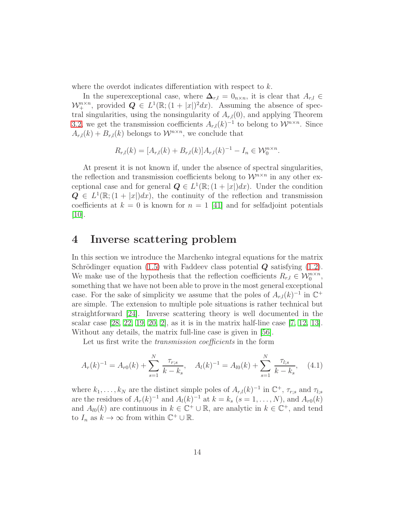where the overdot indicates differentiation with respect to k.

In the superexceptional case, where  $\Delta_{r,l} = 0_{n \times n}$ , it is clear that  $A_{r,l} \in$  $\mathcal{W}_+^{n \times n}$ , provided  $\mathbf{Q} \in L^1(\mathbb{R}; (1+|x|)^2 dx)$ . Assuming the absence of spectral singularities, using the nonsingularity of  $A_{r,l}(0)$ , and applying Theorem [3.2,](#page-11-0) we get the transmission coefficients  $A_{r,l}(k)^{-1}$  to belong to  $\mathcal{W}^{n \times n}$ . Since  $A_{r,l}(k) + B_{r,l}(k)$  belongs to  $\mathcal{W}^{n \times n}$ , we conclude that

$$
R_{r,l}(k) = [A_{r,l}(k) + B_{r,l}(k)]A_{r,l}(k)^{-1} - I_n \in \mathcal{W}_0^{n \times n}.
$$

At present it is not known if, under the absence of spectral singularities, the reflection and transmission coefficients belong to  $\mathcal{W}^{n \times n}$  in any other exceptional case and for general  $Q \in L^1(\mathbb{R}; (1+|x|)dx)$ . Under the condition  $Q \in L^1(\mathbb{R};(1+|x|)dx)$ , the continuity of the reflection and transmission coefficients at  $k = 0$  is known for  $n = 1$  [\[41\]](#page-41-10) and for selfadjoint potentials [\[10\]](#page-38-6).

### <span id="page-13-0"></span>4 Inverse scattering problem

In this section we introduce the Marchenko integral equations for the matrix Schrödinger equation [\(1.5\)](#page-2-1) with Faddeev class potential  $Q$  satisfying [\(1.2\)](#page-1-1). We make use of the hypothesis that the reflection coefficients  $R_{r,l} \in \mathcal{W}_0^{n \times n}$ , something that we have not been able to prove in the most general exceptional case. For the sake of simplicity we assume that the poles of  $A_{r,l}(k)^{-1}$  in  $\mathbb{C}^+$ are simple. The extension to multiple pole situations is rather technical but straightforward [\[24\]](#page-40-9). Inverse scattering theory is well documented in the scalar case  $[28, 22, 19, 20, 2]$  $[28, 22, 19, 20, 2]$  $[28, 22, 19, 20, 2]$  $[28, 22, 19, 20, 2]$  $[28, 22, 19, 20, 2]$ , as it is in the matrix half-line case  $[7, 12, 13]$  $[7, 12, 13]$  $[7, 12, 13]$ . Without any details, the matrix full-line case is given in [\[56\]](#page-42-8).

Let us first write the *transmission coefficients* in the form

<span id="page-13-1"></span>
$$
A_r(k)^{-1} = A_{r0}(k) + \sum_{s=1}^{N} \frac{\tau_{r;s}}{k - k_s}, \quad A_l(k)^{-1} = A_{l0}(k) + \sum_{s=1}^{N} \frac{\tau_{l;s}}{k - k_s}, \quad (4.1)
$$

where  $k_1, \ldots, k_N$  are the distinct simple poles of  $A_{r,l}(k)^{-1}$  in  $\mathbb{C}^+$ ,  $\tau_{r;s}$  and  $\tau_{l;s}$ are the residues of  $A_r(k)^{-1}$  and  $A_l(k)^{-1}$  at  $k = k_s$   $(s = 1, \ldots, N)$ , and  $A_{r0}(k)$ and  $A_{l0}(k)$  are continuous in  $k \in \mathbb{C}^+ \cup \mathbb{R}$ , are analytic in  $k \in \mathbb{C}^+$ , and tend to  $I_n$  as  $k \to \infty$  from within  $\mathbb{C}^+ \cup \mathbb{R}$ .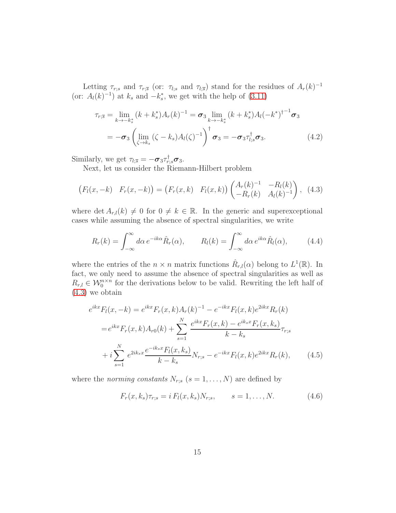Letting  $\tau_{r;s}$  and  $\tau_{r;\bar{s}}$  (or:  $\tau_{l;s}$  and  $\tau_{l;\bar{s}}$ ) stand for the residues of  $A_r(k)^{-1}$ (or:  $A_l(k)^{-1}$ ) at  $k_s$  and  $-k_s^*$ , we get with the help of [\(3.11\)](#page-8-0)

$$
\tau_{r;\overline{s}} = \lim_{k \to -k_s^*} (k + k_s^*) A_r(k)^{-1} = \sigma_3 \lim_{k \to -k_s^*} (k + k_s^*) A_l(-k^*)^{\dagger^{-1}} \sigma_3 \n= -\sigma_3 \left( \lim_{\zeta \to k_s} (\zeta - k_s) A_l(\zeta)^{-1} \right)^{\dagger} \sigma_3 = -\sigma_3 \tau_{l;s}^{\dagger} \sigma_3.
$$
\n(4.2)

Similarly, we get  $\tau_{l;\bar{s}} = -\sigma_3 \tau_{r;s}^{\dagger} \sigma_3$ .

Next, let us consider the Riemann-Hilbert problem

<span id="page-14-0"></span>
$$
(F_l(x, -k) \ F_r(x, -k)) = (F_r(x, k) \ F_l(x, k)) \begin{pmatrix} A_r(k)^{-1} & -R_l(k) \\ -R_r(k) & A_l(k)^{-1} \end{pmatrix}, (4.3)
$$

where det  $A_{r,l}(k) \neq 0$  for  $0 \neq k \in \mathbb{R}$ . In the generic and superexceptional cases while assuming the absence of spectral singularities, we write

<span id="page-14-2"></span>
$$
R_r(k) = \int_{-\infty}^{\infty} d\alpha \, e^{-ik\alpha} \hat{R}_r(\alpha), \qquad R_l(k) = \int_{-\infty}^{\infty} d\alpha \, e^{ik\alpha} \hat{R}_l(\alpha), \tag{4.4}
$$

where the entries of the  $n \times n$  matrix functions  $\hat{R}_{r,l}(\alpha)$  belong to  $L^1(\mathbb{R})$ . In fact, we only need to assume the absence of spectral singularities as well as  $R_{r,l} \in \mathcal{W}_0^{n \times n}$  for the derivations below to be valid. Rewriting the left half of [\(4.3\)](#page-14-0) we obtain

$$
e^{ikx}F_l(x, -k) = e^{ikx}F_r(x, k)A_r(k)^{-1} - e^{-ikx}F_l(x, k)e^{2ikx}R_r(k)
$$
  

$$
= e^{ikx}F_r(x, k)A_{r0}(k) + \sum_{s=1}^{N} \frac{e^{ikx}F_r(x, k) - e^{iksx}F_r(x, k_s)}{k - k_s}\tau_{r;s}
$$
  

$$
+ i \sum_{s=1}^{N} e^{2ik_sx} \frac{e^{-ik_sx}F_l(x, k_s)}{k - k_s}N_{r;s} - e^{-ikx}F_l(x, k)e^{2ikx}R_r(k), \qquad (4.5)
$$

where the norming constants  $N_{r;s}$   $(s = 1, \ldots, N)$  are defined by

<span id="page-14-3"></span><span id="page-14-1"></span>
$$
F_r(x, k_s)\tau_{r;s} = i F_l(x, k_s)N_{r;s}, \qquad s = 1, ..., N.
$$
 (4.6)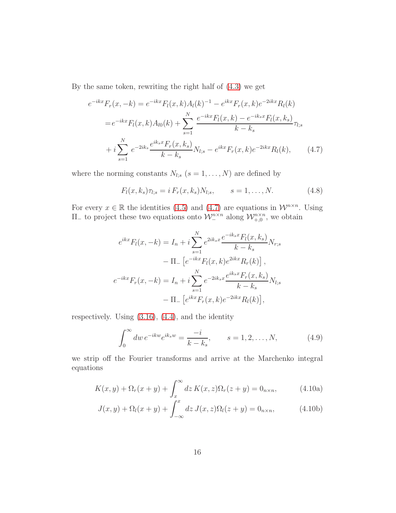By the same token, rewriting the right half of [\(4.3\)](#page-14-0) we get

$$
e^{-ikx}F_r(x, -k) = e^{-ikx}F_l(x, k)A_l(k)^{-1} - e^{ikx}F_r(x, k)e^{-2ikx}R_l(k)
$$
  

$$
= e^{-ikx}F_l(x, k)A_{l0}(k) + \sum_{s=1}^{N} \frac{e^{-ikx}F_l(x, k) - e^{-ik_sx}F_l(x, k_s)}{k - k_s}\tau_{l;s}
$$
  

$$
+ i \sum_{s=1}^{N} e^{-2ik_s} \frac{e^{ik_sx}F_r(x, k_s)}{k - k_s}N_{l;s} - e^{ikx}F_r(x, k)e^{-2ikx}R_l(k), \qquad (4.7)
$$

where the norming constants  $N_{l;s}$   $(s = 1, \ldots, N)$  are defined by

<span id="page-15-3"></span><span id="page-15-0"></span>
$$
F_l(x, k_s)\tau_{l;s} = i F_r(x, k_s)N_{l;s}, \qquad s = 1, ..., N.
$$
 (4.8)

For every  $x \in \mathbb{R}$  the identities [\(4.5\)](#page-14-1) and [\(4.7\)](#page-15-0) are equations in  $\mathcal{W}^{n \times n}$ . Using  $\Pi_{-}$  to project these two equations onto  $\mathcal{W}_{-}^{n \times n}$  along  $\mathcal{W}_{+,0}^{n \times n}$ , we obtain

$$
e^{ikx}F_l(x, -k) = I_n + i \sum_{s=1}^N e^{2ik_sx} \frac{e^{-ik_sx}F_l(x, k_s)}{k - k_s} N_{r;s}
$$

$$
- \Pi_- \left[ e^{-ikx}F_l(x, k) e^{2ikx} R_r(k) \right],
$$

$$
e^{-ikx}F_r(x, -k) = I_n + i \sum_{s=1}^N e^{-2ik_sx} \frac{e^{ik_sx}F_r(x, k_s)}{k - k_s} N_{l;s}
$$

$$
- \Pi_- \left[ e^{ikx}F_r(x, k) e^{-2ikx} R_l(k) \right],
$$

respectively. Using [\(3.16\)](#page-9-0), [\(4.4\)](#page-14-2), and the identity

<span id="page-15-2"></span><span id="page-15-1"></span>
$$
\int_0^\infty dw \, e^{-ikw} e^{ik_s w} = \frac{-i}{k - k_s}, \qquad s = 1, 2, \dots, N,\tag{4.9}
$$

we strip off the Fourier transforms and arrive at the Marchenko integral equations

<span id="page-15-4"></span>
$$
K(x,y) + \Omega_r(x+y) + \int_x^{\infty} dz K(x,z)\Omega_r(z+y) = 0_{n \times n}, \qquad (4.10a)
$$

$$
J(x, y) + \Omega_l(x + y) + \int_{-\infty}^x dz J(x, z)\Omega_l(z + y) = 0_{n \times n},
$$
 (4.10b)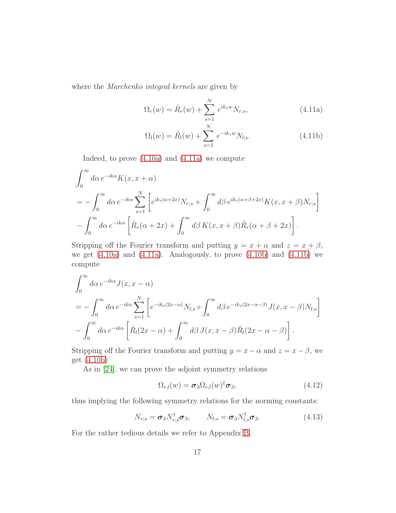where the *Marchenko integral kernels* are given by

<span id="page-16-2"></span><span id="page-16-0"></span>
$$
\Omega_r(w) = \hat{R}_r(w) + \sum_{s=1}^{N} e^{ik_s w} N_{r;s},
$$
\n(4.11a)

<span id="page-16-1"></span>
$$
\Omega_l(w) = \hat{R}_l(w) + \sum_{s=1}^{N} e^{-ik_s w} N_{l;s}.
$$
\n(4.11b)

Indeed, to prove [\(4.10a\)](#page-15-1) and [\(4.11a\)](#page-16-0) we compute

$$
\int_0^\infty d\alpha \, e^{-ik\alpha} K(x, x + \alpha)
$$
\n
$$
= -\int_0^\infty d\alpha \, e^{-ik\alpha} \sum_{s=1}^N \left[ e^{ik_s(\alpha + 2x)} N_{r;s} + \int_0^\infty d\beta \, e^{ik_s(\alpha + \beta + 2x)} K(x, x + \beta) N_{r;s} \right]
$$
\n
$$
- \int_0^\infty d\alpha \, e^{-ik\alpha} \left[ \hat{R}_r(\alpha + 2x) + \int_0^\infty d\beta \, K(x, x + \beta) \hat{R}_r(\alpha + \beta + 2x) \right].
$$

Stripping off the Fourier transform and putting  $y = x + \alpha$  and  $z = x + \beta$ , we get  $(4.10a)$  and  $(4.11a)$ . Analogously, to prove  $(4.10b)$  and  $(4.11b)$  we compute

$$
\int_0^\infty d\alpha \, e^{-ik\alpha} J(x, x - \alpha)
$$
\n
$$
= -\int_0^\infty d\alpha \, e^{-ik\alpha} \sum_{s=1}^N \left[ e^{-ik_s(2x-\alpha)} N_{l;s} + \int_0^\infty d\beta \, e^{-ik_s(2x-\alpha-\beta)} J(x, x - \beta) N_{l;s} \right]
$$
\n
$$
- \int_0^\infty d\alpha \, e^{-ik\alpha} \left[ \hat{R}_l(2x - \alpha) + \int_0^\infty d\beta \, J(x, x - \beta) \hat{R}_l(2x - \alpha - \beta) \right].
$$

Stripping off the Fourier transform and putting  $y = x - \alpha$  and  $z = x - \beta$ , we get [\(4.10b\)](#page-15-2).

As in [\[24\]](#page-40-9), we can prove the adjoint symmetry relations

<span id="page-16-3"></span>
$$
\Omega_{r,l}(w) = \boldsymbol{\sigma}_3 \Omega_{r,l}(w)^\dagger \boldsymbol{\sigma}_3, \qquad (4.12)
$$

thus implying the following symmetry relations for the norming constants:

<span id="page-16-4"></span>
$$
N_{r,s} = \boldsymbol{\sigma}_3 N_{r,s}^{\dagger} \boldsymbol{\sigma}_3, \qquad N_{l,s} = \boldsymbol{\sigma}_3 N_{l,s}^{\dagger} \boldsymbol{\sigma}_3. \qquad (4.13)
$$

For the rather tedious details we refer to Appendix [B.](#page-28-0)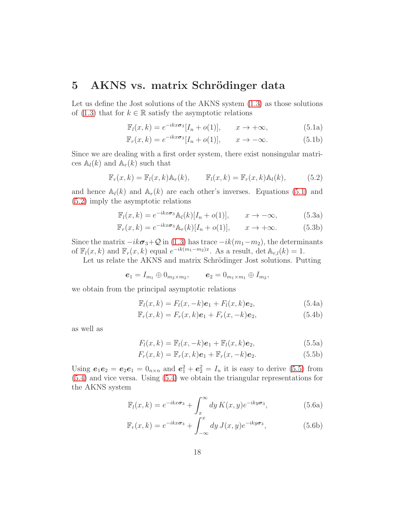### <span id="page-17-0"></span>5 AKNS vs. matrix Schrödinger data

Let us define the Jost solutions of the AKNS system [\(1.3\)](#page-1-0) as those solutions of [\(1.3\)](#page-1-0) that for  $k \in \mathbb{R}$  satisfy the asymptotic relations

$$
\mathbb{F}_l(x,k) = e^{-ikx\sigma_3}[I_n + o(1)], \qquad x \to +\infty,
$$
\n(5.1a)

<span id="page-17-1"></span>
$$
\mathbb{F}_r(x,k) = e^{-ikx\sigma_3}[I_n + o(1)], \qquad x \to -\infty.
$$
 (5.1b)

Since we are dealing with a first order system, there exist nonsingular matrices  $\mathbb{A}_l(k)$  and  $\mathbb{A}_r(k)$  such that

<span id="page-17-2"></span>
$$
\mathbb{F}_r(x,k) = \mathbb{F}_l(x,k)\mathbb{A}_r(k), \qquad \mathbb{F}_l(x,k) = \mathbb{F}_r(x,k)\mathbb{A}_l(k), \tag{5.2}
$$

and hence  $\mathbb{A}_l(k)$  and  $\mathbb{A}_r(k)$  are each other's inverses. Equations [\(5.1\)](#page-17-1) and [\(5.2\)](#page-17-2) imply the asymptotic relations

<span id="page-17-5"></span>
$$
\mathbb{F}_{l}(x,k) = e^{-ikx\sigma_{3}}\mathbb{A}_{l}(k)[I_{n} + o(1)], \qquad x \to -\infty,
$$
 (5.3a)

$$
\mathbb{F}_r(x,k) = e^{-ikx\sigma_3} \mathbb{A}_r(k)[I_n + o(1)], \qquad x \to +\infty.
$$
 (5.3b)

Since the matrix  $-ik\sigma_3+Q$  in [\(1.3\)](#page-1-0) has trace  $-ik(m_1-m_2)$ , the determinants of  $\mathbb{F}_l(x,k)$  and  $\mathbb{F}_r(x,k)$  equal  $e^{-ik(m_1-m_2)x}$ . As a result,  $\det \mathbb{A}_{r,l}(k) = 1$ .

Let us relate the AKNS and matrix Schrödinger Jost solutions. Putting

$$
e_1 = I_{m_1} \oplus 0_{m_2 \times m_2}, \qquad e_2 = 0_{m_1 \times m_1} \oplus I_{m_2},
$$

we obtain from the principal asymptotic relations

<span id="page-17-4"></span>
$$
\mathbb{F}_l(x,k) = F_l(x,-k)\mathbf{e}_1 + F_l(x,k)\mathbf{e}_2,\tag{5.4a}
$$

$$
\mathbb{F}_r(x,k) = F_r(x,k)\mathbf{e}_1 + F_r(x,-k)\mathbf{e}_2,\tag{5.4b}
$$

<span id="page-17-3"></span>as well as

$$
F_l(x,k) = \mathbb{F}_l(x,-k)\mathbf{e}_1 + \mathbb{F}_l(x,k)\mathbf{e}_2,
$$
\n(5.5a)

$$
F_r(x,k) = \mathbb{F}_r(x,k)\mathbf{e}_1 + \mathbb{F}_r(x,-k)\mathbf{e}_2.
$$
 (5.5b)

Using  $e_1e_2 = e_2e_1 = 0_{n \times n}$  and  $e_1^2 + e_2^2 = I_n$  it is easy to derive [\(5.5\)](#page-17-3) from [\(5.4\)](#page-17-4) and vice versa. Using [\(5.4\)](#page-17-4) we obtain the triangular representations for the AKNS system

$$
\mathbb{F}_l(x,k) = e^{-ikx\sigma_3} + \int_x^{\infty} dy \, K(x,y)e^{-iky\sigma_3}, \tag{5.6a}
$$

$$
\mathbb{F}_r(x,k) = e^{-ikx\sigma_3} + \int_{-\infty}^x dy \, J(x,y)e^{-iky\sigma_3},\tag{5.6b}
$$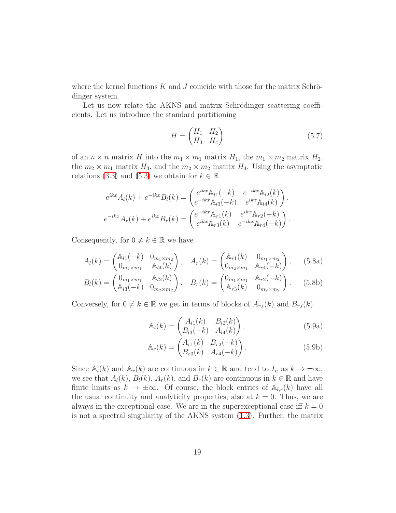where the kernel functions  $K$  and  $J$  coincide with those for the matrix Schrödinger system.

Let us now relate the AKNS and matrix Schrödinger scattering coefficients. Let us introduce the standard partitioning

$$
H = \begin{pmatrix} H_1 & H_2 \\ H_3 & H_4 \end{pmatrix} \tag{5.7}
$$

of an  $n \times n$  matrix H into the  $m_1 \times m_1$  matrix  $H_1$ , the  $m_1 \times m_2$  matrix  $H_2$ , the  $m_2 \times m_1$  matrix  $H_3$ , and the  $m_2 \times m_2$  matrix  $H_4$ . Using the asymptotic relations [\(3.3\)](#page-6-3) and [\(5.3\)](#page-17-5) we obtain for  $k \in \mathbb{R}$ 

$$
e^{ikx}A_l(k) + e^{-ikx}B_l(k) = \begin{pmatrix} e^{ikx}\mathbb{A}_{l1}(-k) & e^{-ikx}\mathbb{A}_{l2}(k) \\ e^{-ikx}\mathbb{A}_{l3}(-k) & e^{ikx}\mathbb{A}_{l4}(k) \end{pmatrix},
$$
  
\n
$$
e^{-ikx}A_r(k) + e^{ikx}B_r(k) = \begin{pmatrix} e^{-ikx}\mathbb{A}_{r1}(k) & e^{ikx}\mathbb{A}_{r2}(-k) \\ e^{ikx}\mathbb{A}_{r3}(k) & e^{-ikx}\mathbb{A}_{r4}(-k) \end{pmatrix}.
$$

Consequently, for  $0 \neq k \in \mathbb{R}$  we have

$$
A_{l}(k) = \begin{pmatrix} \mathbb{A}_{l1}(-k) & 0_{m_{1} \times m_{2}} \\ 0_{m_{2} \times m_{1}} & \mathbb{A}_{l4}(k) \end{pmatrix}, \quad A_{r}(k) = \begin{pmatrix} \mathbb{A}_{r1}(k) & 0_{m_{1} \times m_{2}} \\ 0_{m_{2} \times m_{1}} & \mathbb{A}_{r4}(-k) \end{pmatrix}, \quad (5.8a)
$$

$$
B_{l}(k) = \begin{pmatrix} 0_{m_{1} \times m_{1}} & \mathbb{A}_{l2}(k) \\ \mathbb{A}_{l3}(-k) & 0_{m_{2} \times m_{2}} \end{pmatrix}, \quad B_{r}(k) = \begin{pmatrix} 0_{m_{1} \times m_{1}} & \mathbb{A}_{r2}(-k) \\ \mathbb{A}_{r3}(k) & 0_{m_{2} \times m_{2}} \end{pmatrix}.
$$
 (5.8b)

Conversely, for  $0 \neq k \in \mathbb{R}$  we get in terms of blocks of  $A_{r,l}(k)$  and  $B_{r,l}(k)$ 

<span id="page-18-1"></span><span id="page-18-0"></span>
$$
\mathbb{A}_{l}(k) = \begin{pmatrix} A_{l1}(k) & B_{l2}(k) \\ B_{l3}(-k) & A_{l4}(k) \end{pmatrix},
$$
\n(5.9a)

$$
\mathbb{A}_r(k) = \begin{pmatrix} A_{r1}(k) & B_{r2}(-k) \\ B_{r3}(k) & A_{r4}(-k) \end{pmatrix} . \tag{5.9b}
$$

Since  $\mathbb{A}_l(k)$  and  $\mathbb{A}_r(k)$  are continuous in  $k \in \mathbb{R}$  and tend to  $I_n$  as  $k \to \pm \infty$ , we see that  $A_l(k)$ ,  $B_l(k)$ ,  $A_r(k)$ , and  $B_r(k)$  are continuous in  $k \in \mathbb{R}$  and have finite limits as  $k \to \pm \infty$ . Of course, the block entries of  $\mathbb{A}_{l,r}(k)$  have all the usual continuity and analyticity properties, also at  $k = 0$ . Thus, we are always in the exceptional case. We are in the superexceptional case iff  $k = 0$ is not a spectral singularity of the AKNS system [\(1.3\)](#page-1-0). Further, the matrix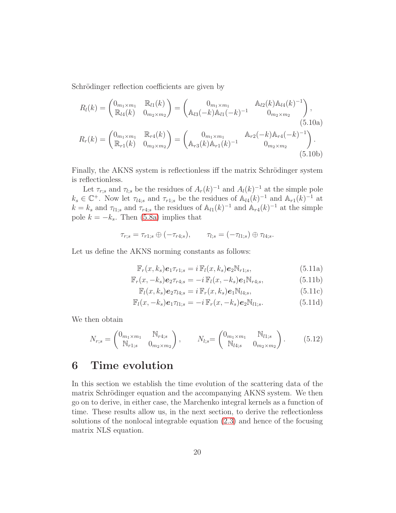Schrödinger reflection coefficients are given by

<span id="page-19-1"></span>
$$
R_l(k) = \begin{pmatrix} 0_{m_1 \times m_1} & \mathbb{R}_{l1}(k) \\ \mathbb{R}_{l4}(k) & 0_{m_2 \times m_2} \end{pmatrix} = \begin{pmatrix} 0_{m_1 \times m_1} & \mathbb{A}_{l2}(k) \mathbb{A}_{l4}(k)^{-1} \\ \mathbb{A}_{l3}(-k) \mathbb{A}_{l1}(-k)^{-1} & 0_{m_2 \times m_2} \end{pmatrix},
$$
\n
$$
R_r(k) = \begin{pmatrix} 0_{m_1 \times m_1} & \mathbb{R}_{r4}(k) \\ \mathbb{R}_{r1}(k) & 0_{m_2 \times m_2} \end{pmatrix} = \begin{pmatrix} 0_{m_1 \times m_1} & \mathbb{A}_{r2}(-k) \mathbb{A}_{r4}(-k)^{-1} \\ \mathbb{A}_{r3}(k) \mathbb{A}_{r1}(k)^{-1} & 0_{m_2 \times m_2} \end{pmatrix}.
$$
\n(5.10b)

Finally, the AKNS system is reflectionless iff the matrix Schrödinger system is reflectionless.

Let  $\tau_{r;s}$  and  $\tau_{l;s}$  be the residues of  $A_r(k)^{-1}$  and  $A_l(k)^{-1}$  at the simple pole  $k_s \in \mathbb{C}^+$ . Now let  $\tau_{l4,s}$  and  $\tau_{r1,s}$  be the residues of  $\mathbb{A}_{l4}(k)^{-1}$  and  $\mathbb{A}_{r1}(k)^{-1}$  at  $k = k_s$  and  $\tau_{l1;s}$  and  $\tau_{r4;s}$  the residues of  $\mathbb{A}_{l1}(k)^{-1}$  and  $\mathbb{A}_{r4}(k)^{-1}$  at the simple pole  $k = -k_s$ . Then [\(5.8a\)](#page-18-0) implies that

$$
\tau_{r;s} = \tau_{r1;s} \oplus (-\tau_{r4;s}), \qquad \tau_{l;s} = (-\tau_{l1;s}) \oplus \tau_{l4;s}.
$$

Let us define the AKNS norming constants as follows:

$$
\mathbb{F}_r(x,k_s)\mathbf{e}_1\tau_{r1;s} = i\,\mathbb{F}_l(x,k_s)\mathbf{e}_2\mathbb{N}_{r1;s},\tag{5.11a}
$$

$$
\mathbb{F}_r(x, -k_s) \mathbf{e}_{2} \tau_{r4;s} = -i \mathbb{F}_l(x, -k_s) \mathbf{e}_{1} \mathbb{N}_{r4;s}, \tag{5.11b}
$$

<span id="page-19-2"></span>
$$
\mathbb{F}_l(x,k_s)\mathbf{e}_2\tau_{l4;s} = i\,\mathbb{F}_r(x,k_s)\mathbf{e}_1\mathbb{N}_{l4;s},\tag{5.11c}
$$

$$
\mathbb{F}_l(x, -k_s)\mathbf{e}_1\tau_{l1;s} = -i\,\mathbb{F}_r(x, -k_s)\mathbf{e}_2\mathbb{N}_{l1;s}.\tag{5.11d}
$$

We then obtain

$$
N_{r;s} = \begin{pmatrix} 0_{m_1 \times m_1} & \mathbb{N}_{r4;s} \\ \mathbb{N}_{r1;s} & 0_{m_2 \times m_2} \end{pmatrix}, \qquad N_{l;s} = \begin{pmatrix} 0_{m_1 \times m_1} & \mathbb{N}_{l1;s} \\ \mathbb{N}_{l4;s} & 0_{m_2 \times m_2} \end{pmatrix}.
$$
 (5.12)

### <span id="page-19-0"></span>6 Time evolution

In this section we establish the time evolution of the scattering data of the matrix Schrödinger equation and the accompanying AKNS system. We then go on to derive, in either case, the Marchenko integral kernels as a function of time. These results allow us, in the next section, to derive the reflectionless solutions of the nonlocal integrable equation [\(2.3\)](#page-5-1) and hence of the focusing matrix NLS equation.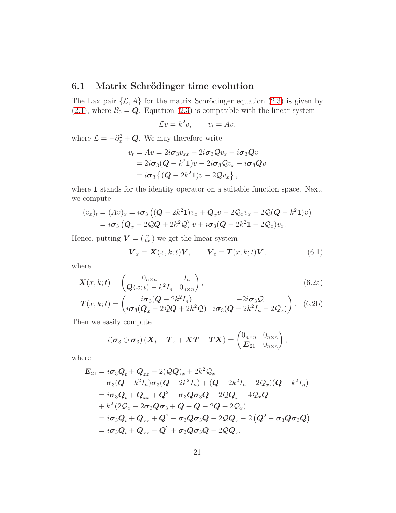#### 6.1 Matrix Schrödinger time evolution

The Lax pair  $\{\mathcal{L}, A\}$  for the matrix Schrödinger equation [\(2.3\)](#page-5-1) is given by [\(2.1\)](#page-4-2), where  $\mathcal{B}_0 = \mathbf{Q}$ . Equation [\(2.3\)](#page-5-1) is compatible with the linear system

$$
\mathcal{L}v = k^2 v, \qquad v_t = Av,
$$

where  $\mathcal{L} = -\partial_x^2 + \mathbf{Q}$ . We may therefore write

$$
v_t = Av = 2i\sigma_3 v_{xx} - 2i\sigma_3 Q v_x - i\sigma_3 Q v
$$
  
=  $2i\sigma_3 (Q - k^2 1) v - 2i\sigma_3 Q v_x - i\sigma_3 Q v$   
=  $i\sigma_3 \{ (Q - 2k^2 1) v - 2Q v_x \},$ 

where 1 stands for the identity operator on a suitable function space. Next, we compute

$$
(v_x)_t = (Av)_x = i\sigma_3 ((\mathbf{Q} - 2k^2 \mathbf{1})v_x + \mathbf{Q}_x v - 2\mathbf{Q}_x v_x - 2\mathbf{Q}(\mathbf{Q} - k^2 \mathbf{1})v)
$$
  
=  $i\sigma_3 (\mathbf{Q}_x - 2\mathbf{Q}\mathbf{Q} + 2k^2 \mathbf{Q}) v + i\sigma_3 (\mathbf{Q} - 2k^2 \mathbf{1} - 2\mathbf{Q}_x)v_x.$ 

Hence, putting  $\boldsymbol{V} = \begin{pmatrix} v \\ v_x \end{pmatrix}$  we get the linear system

$$
\boldsymbol{V}_x = \boldsymbol{X}(x, k; t) \boldsymbol{V}, \qquad \boldsymbol{V}_t = \boldsymbol{T}(x, k; t) \boldsymbol{V}, \tag{6.1}
$$

where

$$
\boldsymbol{X}(x,k;t) = \begin{pmatrix} 0_{n \times n} & I_n \\ \boldsymbol{Q}(x;t) - k^2 I_n & 0_{n \times n} \end{pmatrix},
$$
(6.2a)

$$
\boldsymbol{T}(x,k;t) = \begin{pmatrix} i\boldsymbol{\sigma}_3(\boldsymbol{Q}-2k^2I_n) & -2i\boldsymbol{\sigma}_3\boldsymbol{Q} \\ i\boldsymbol{\sigma}_3(\boldsymbol{Q}_x-2\boldsymbol{Q}\boldsymbol{Q}+2k^2\boldsymbol{Q}) & i\boldsymbol{\sigma}_3(\boldsymbol{Q}-2k^2I_n-2\boldsymbol{Q}_x) \end{pmatrix}.
$$
 (6.2b)

Then we easily compute

$$
i(\boldsymbol{\sigma}_3 \oplus \boldsymbol{\sigma}_3) \left( \boldsymbol{X}_t - \boldsymbol{T}_x + \boldsymbol{X}\boldsymbol{T} - \boldsymbol{T}\boldsymbol{X} \right) = \begin{pmatrix} 0_{n \times n} & 0_{n \times n} \\ \boldsymbol{E}_{21} & 0_{n \times n} \end{pmatrix},
$$

where

$$
E_{21} = i\sigma_3 Q_t + Q_{xx} - 2(QQ)_x + 2k^2 Q_x
$$
  
\n
$$
- \sigma_3(Q - k^2 I_n)\sigma_3(Q - 2k^2 I_n) + (Q - 2k^2 I_n - 2Q_x)(Q - k^2 I_n)
$$
  
\n
$$
= i\sigma_3 Q_t + Q_{xx} + Q^2 - \sigma_3 Q \sigma_3 Q - 2QQ_x - 4Q_x Q
$$
  
\n
$$
+ k^2 (2Q_x + 2\sigma_3 Q \sigma_3 + Q - Q - 2Q + 2Q_x)
$$
  
\n
$$
= i\sigma_3 Q_t + Q_{xx} + Q^2 - \sigma_3 Q \sigma_3 Q - 2QQ_x - 2(Q^2 - \sigma_3 Q \sigma_3 Q)
$$
  
\n
$$
= i\sigma_3 Q_t + Q_{xx} - Q^2 + \sigma_3 Q \sigma_3 Q - 2QQ_x,
$$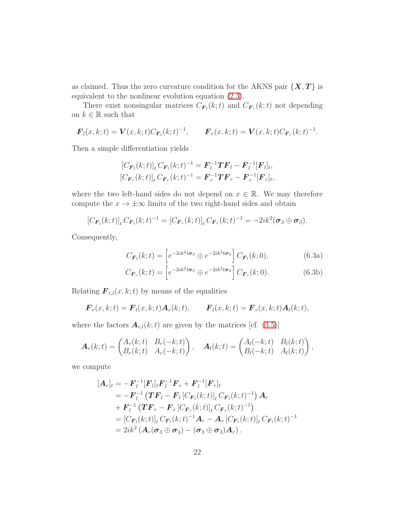as claimed. Thus the zero curvature condition for the AKNS pair  $\{X, T\}$  is equivalent to the nonlinear evolution equation [\(2.3\)](#page-5-1).

There exist nonsingular matrices  $C_{\boldsymbol{F}_l}(k;t)$  and  $C_{\boldsymbol{F}_r}(k;t)$  not depending on  $k\in\mathbb{R}$  such that

$$
\boldsymbol{F}_l(x,k;t) = \boldsymbol{V}(x,k;t)C_{\boldsymbol{F}_l}(k;t)^{-1}, \qquad \boldsymbol{F}_r(x,k;t) = \boldsymbol{V}(x,k;t)C_{\boldsymbol{F}_r}(k;t)^{-1}.
$$

Then a simple differentiation yields

$$
[C_{\boldsymbol{F}_l}(k;t)]_t C_{\boldsymbol{F}_l}(k;t)^{-1} = \boldsymbol{F}_l^{-1} \boldsymbol{T} \boldsymbol{F}_l - \boldsymbol{F}_l^{-1} [\boldsymbol{F}_l]_t,
$$
  

$$
[C_{\boldsymbol{F}_r}(k;t)]_t C_{\boldsymbol{F}_r}(k;t)^{-1} = \boldsymbol{F}_r^{-1} \boldsymbol{T} \boldsymbol{F}_r - \boldsymbol{F}_r^{-1} [\boldsymbol{F}_r]_t,
$$

where the two left-hand sides do not depend on  $x \in \mathbb{R}$ . We may therefore compute the  $x \to \pm \infty$  limits of the two right-hand sides and obtain

$$
[C_{\mathbf{F}_l}(k;t)]_t C_{\mathbf{F}_l}(k;t)^{-1} = [C_{\mathbf{F}_r}(k;t)]_t C_{\mathbf{F}_r}(k;t)^{-1} = -2ik^2(\sigma_3 \oplus \sigma_3).
$$

Consequently,

<span id="page-21-0"></span>
$$
C_{\boldsymbol{F}_l}(k;t) = \left[e^{-2ik^2t\boldsymbol{\sigma}_3} \oplus e^{-2ik^2t\boldsymbol{\sigma}_3}\right] C_{\boldsymbol{F}_l}(k;0),\tag{6.3a}
$$

$$
C_{\boldsymbol{F}_r}(k;t) = \left[e^{-2ik^2t\boldsymbol{\sigma}_3} \oplus e^{-2ik^2t\boldsymbol{\sigma}_3}\right] C_{\boldsymbol{F}_r}(k;0). \tag{6.3b}
$$

Relating  $\mathbf{F}_{r,l}(x, k; t)$  by means of the equalities

$$
\boldsymbol{F}_r(x,k;t) = \boldsymbol{F}_l(x,k;t) \boldsymbol{A}_r(k;t), \qquad \boldsymbol{F}_l(x,k;t) = \boldsymbol{F}_r(x,k;t) \boldsymbol{A}_l(k;t),
$$

where the factors  $A_{r,l}(k;t)$  are given by the matrices [cf. [\(3.5\)](#page-7-2)]

$$
\boldsymbol{A}_r(k;t) = \begin{pmatrix} A_r(k;t) & B_r(-k;t) \\ B_r(k;t) & A_r(-k;t) \end{pmatrix}, \quad \boldsymbol{A}_l(k;t) = \begin{pmatrix} A_l(-k;t) & B_l(k;t) \\ B_l(-k;t) & A_l(k;t) \end{pmatrix},
$$

we compute

$$
[\mathbf{A}_r]_t = -\mathbf{F}_l^{-1} [\mathbf{F}_l]_t \mathbf{F}_l^{-1} \mathbf{F}_r + \mathbf{F}_l^{-1} [\mathbf{F}_r]_t
$$
  
\n
$$
= -\mathbf{F}_l^{-1} (\mathbf{T}\mathbf{F}_l - \mathbf{F}_l [C_{\mathbf{F}_l}(k; t)]_t C_{\mathbf{F}_l}(k; t)^{-1}) \mathbf{A}_r
$$
  
\n
$$
+ \mathbf{F}_l^{-1} (\mathbf{T}\mathbf{F}_r - \mathbf{F}_r [C_{\mathbf{F}_r}(k; t)]_t C_{\mathbf{F}_r}(k; t)^{-1})
$$
  
\n
$$
= [C_{\mathbf{F}_l}(k; t)]_t C_{\mathbf{F}_l}(k; t)^{-1} \mathbf{A}_r - \mathbf{A}_r [C_{\mathbf{F}_l}(k; t)]_t C_{\mathbf{F}_l}(k; t)^{-1}
$$
  
\n
$$
= 2ik^2 (\mathbf{A}_r (\sigma_3 \oplus \sigma_3) - (\sigma_3 \oplus \sigma_3) \mathbf{A}_r).
$$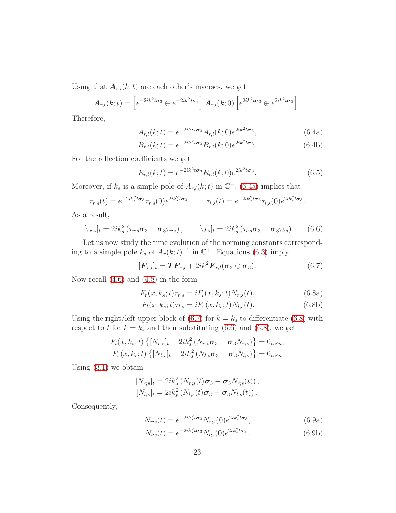Using that  $A_{r,l}(k;t)$  are each other's inverses, we get

$$
\boldsymbol{A}_{r,l}(k;t) = \left[e^{-2ik^2t\boldsymbol{\sigma}_3} \oplus e^{-2ik^2t\boldsymbol{\sigma}_3}\right] \boldsymbol{A}_{r,l}(k;0) \left[e^{2ik^2t\boldsymbol{\sigma}_3} \oplus e^{2ik^2t\boldsymbol{\sigma}_3}\right].
$$

Therefore,

<span id="page-22-0"></span>
$$
A_{r,l}(k;t) = e^{-2ik^2t\sigma_3} A_{r,l}(k;0)e^{2ik^2t\sigma_3},
$$
\n(6.4a)

<span id="page-22-4"></span>
$$
B_{r,l}(k;t) = e^{-2ik^2t\sigma_3} B_{r,l}(k;0)e^{2ik^2t\sigma_3}.
$$
 (6.4b)

For the reflection coefficients we get

<span id="page-22-5"></span>
$$
R_{r,l}(k;t) = e^{-2ik^2t\sigma_3} R_{r,l}(k;0) e^{2ik^2t\sigma_3}.
$$
\n(6.5)

Moreover, if  $k_s$  is a simple pole of  $A_{r,l}(k;t)$  in  $\mathbb{C}^+$ , [\(6.4a\)](#page-22-0) implies that

$$
\tau_{r,s}(t) = e^{-2ik_s^2t\sigma_3}\tau_{r,s}(0)e^{2ik_s^2t\sigma_3}, \qquad \tau_{l,s}(t) = e^{-2ik_s^2t\sigma_3}\tau_{l,s}(0)e^{2ik_s^2t\sigma_3}.
$$

As a result,

<span id="page-22-3"></span>
$$
[\tau_{r;s}]_t = 2ik_s^2(\tau_{r;s}\sigma_3 - \sigma_3\tau_{r;s}), \qquad [\tau_{l;s}]_t = 2ik_s^2(\tau_{l;s}\sigma_3 - \sigma_3\tau_{l;s}). \qquad (6.6)
$$

Let us now study the time evolution of the norming constants corresponding to a simple pole  $k_s$  of  $A_r(k;t)^{-1}$  in  $\mathbb{C}^+$ . Equations [\(6.3\)](#page-21-0) imply

<span id="page-22-1"></span>
$$
[\boldsymbol{F}_{r,l}]_t = \boldsymbol{TF}_{r,l} + 2ik^2 \boldsymbol{F}_{r,l}(\boldsymbol{\sigma}_3 \oplus \boldsymbol{\sigma}_3). \hspace{1cm} (6.7)
$$

Now recall [\(4.6\)](#page-14-3) and [\(4.8\)](#page-15-3) in the form

<span id="page-22-2"></span>
$$
F_r(x, k_s; t)\tau_{r;s} = iF_l(x, k_s; t)N_{r;s}(t),
$$
\n(6.8a)

$$
F_l(x, k_s; t)\tau_{l;s} = iF_r(x, k_s; t)N_{l;s}(t). \tag{6.8b}
$$

Using the right/left upper block of  $(6.7)$  for  $k = k_s$  to differentiate  $(6.8)$  with respect to t for  $k = k_s$  and then substituting [\(6.6\)](#page-22-3) and [\(6.8\)](#page-22-2), we get

$$
F_l(x, k_s; t) \{ [N_{r,s}]_t - 2ik_s^2 (N_{r,s}\sigma_3 - \sigma_3 N_{r,s}) \} = 0_{n \times n},
$$
  

$$
F_r(x, k_s; t) \{ [N_{l,s}]_t - 2ik_s^2 (N_{l,s}\sigma_3 - \sigma_3 N_{l,s}) \} = 0_{n \times n}.
$$

Using  $(3.1)$  we obtain

$$
[N_{r,s}]_t = 2ik_s^2 (N_{r,s}(t)\sigma_3 - \sigma_3 N_{r,s}(t)),
$$
  
\n
$$
[N_{l,s}]_t = 2ik_s^2 (N_{l,s}(t)\sigma_3 - \sigma_3 N_{l,s}(t)).
$$

Consequently,

<span id="page-22-6"></span>
$$
N_{r;s}(t) = e^{-2ik_s^2t\sigma_3} N_{r;s}(0)e^{2ik_s^2t\sigma_3},
$$
\n(6.9a)

$$
N_{l;s}(t) = e^{-2ik_s^2t\sigma_3} N_{l;s}(0)e^{2ik_s^2t\sigma_3}.
$$
\n(6.9b)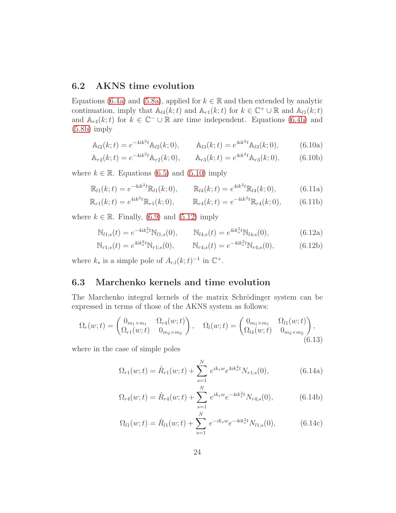#### 6.2 AKNS time evolution

Equations [\(6.4a\)](#page-22-0) and [\(5.8a\)](#page-18-0), applied for  $k \in \mathbb{R}$  and then extended by analytic continuation, imply that  $\mathbb{A}_{l4}(k;t)$  and  $\mathbb{A}_{r1}(k;t)$  for  $k \in \mathbb{C}^+ \cup \mathbb{R}$  and  $\mathbb{A}_{l1}(k;t)$ and  $\mathbb{A}_{r4}(k;t)$  for  $k \in \mathbb{C}^- \cup \mathbb{R}$  are time independent. Equations [\(6.4b\)](#page-22-4) and [\(5.8b\)](#page-18-1) imply

$$
\mathbb{A}_{l2}(k;t) = e^{-4ik^2t} \mathbb{A}_{l2}(k;0), \qquad \mathbb{A}_{l3}(k;t) = e^{4ik^2t} \mathbb{A}_{l3}(k;0), \tag{6.10a}
$$

$$
\mathbb{A}_{r2}(k;t) = e^{-4ik^2t} \mathbb{A}_{r2}(k;0), \qquad \mathbb{A}_{r3}(k;t) = e^{4ik^2t} \mathbb{A}_{r3}(k;0), \tag{6.10b}
$$

where  $k \in \mathbb{R}$ . Equations [\(6.5\)](#page-22-5) and [\(5.10\)](#page-19-1) imply

$$
\mathbb{R}_{l1}(k;t) = e^{-4ik^2t}\mathbb{R}_{l1}(k;0), \qquad \mathbb{R}_{l4}(k;t) = e^{4ik^2t}\mathbb{R}_{l4}(k;0), \tag{6.11a}
$$

$$
\mathbb{R}_{r1}(k;t) = e^{4ik^2t} \mathbb{R}_{r1}(k;0), \qquad \mathbb{R}_{r4}(k;t) = e^{-4ik^2t} \mathbb{R}_{r4}(k;0), \qquad (6.11b)
$$

where  $k \in \mathbb{R}$ . Finally, [\(6.9\)](#page-22-6) and [\(5.12\)](#page-19-2) imply

$$
\mathbb{N}_{l1,s}(t) = e^{-4ik_s^2t} \mathbb{N}_{l1,s}(0), \qquad \mathbb{N}_{l4,s}(t) = e^{4ik_s^2t} \mathbb{N}_{l4,s}(0), \tag{6.12a}
$$

$$
\mathbb{N}_{r1;s}(t) = e^{4ik_s^2t} \mathbb{N}_{r1;s}(0), \qquad \mathbb{N}_{r4;s}(t) = e^{-4ik_s^2t} \mathbb{N}_{r4;s}(0), \tag{6.12b}
$$

where  $k_s$  is a simple pole of  $A_{r,l}(k;t)^{-1}$  in  $\mathbb{C}^+$ .

### 6.3 Marchenko kernels and time evolution

The Marchenko integral kernels of the matrix Schrödinger system can be expressed in terms of those of the AKNS system as follows:

<span id="page-23-0"></span>
$$
\Omega_r(w;t) = \begin{pmatrix} 0_{m_1 \times m_1} & \Omega_{r4}(w;t) \\ \Omega_{r1}(w;t) & 0_{m_2 \times m_2} \end{pmatrix}, \quad \Omega_l(w;t) = \begin{pmatrix} 0_{m_1 \times m_1} & \Omega_{l1}(w;t) \\ \Omega_{l4}(w;t) & 0_{m_2 \times m_2} \end{pmatrix},
$$
\n(6.13)

where in the case of simple poles

$$
\Omega_{r1}(w;t) = \hat{R}_{r1}(w;t) + \sum_{s=1}^{N} e^{ik_s w} e^{4ik_s^2 t} N_{r1;s}(0), \tag{6.14a}
$$

$$
\Omega_{r4}(w;t) = \hat{R}_{r4}(w;t) + \sum_{s=1}^{N} e^{ik_s w} e^{-4ik_s^2 t} N_{r4;s}(0), \tag{6.14b}
$$

$$
\Omega_{l1}(w;t) = \hat{R}_{l1}(w;t) + \sum_{s=1}^{N} e^{-ik_s w} e^{-4ik_s^2 t} N_{l1;s}(0), \qquad (6.14c)
$$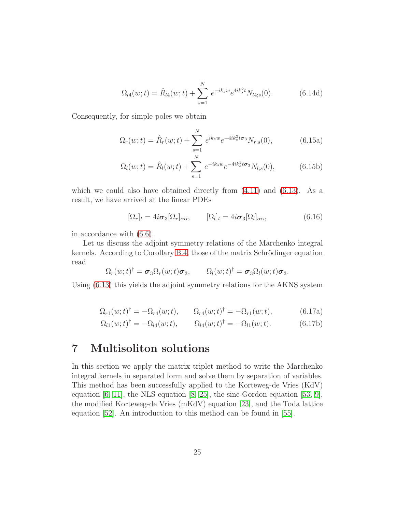$$
\Omega_{l4}(w;t) = \hat{R}_{l4}(w;t) + \sum_{s=1}^{N} e^{-ik_s w} e^{4ik_s^2 t} N_{l4;s}(0).
$$
 (6.14d)

Consequently, for simple poles we obtain

$$
\Omega_r(w;t) = \hat{R}_r(w;t) + \sum_{s=1}^N e^{ik_s w} e^{-4ik_s^2 t \sigma_3} N_{r;s}(0), \tag{6.15a}
$$

$$
\Omega_l(w;t) = \hat{R}_l(w;t) + \sum_{s=1}^N e^{-ik_s w} e^{-4ik_s^2 t \sigma_3} N_{l;s}(0), \qquad (6.15b)
$$

which we could also have obtained directly from  $(4.11)$  and  $(6.13)$ . As a result, we have arrived at the linear PDEs

$$
[\Omega_r]_t = 4i\sigma_3[\Omega_r]_{\alpha\alpha}, \qquad [\Omega_l]_t = 4i\sigma_3[\Omega_l]_{\alpha\alpha}, \qquad (6.16)
$$

in accordance with [\(6.6\)](#page-22-3).

Let us discuss the adjoint symmetry relations of the Marchenko integral kernels. According to Corollary [B.4,](#page-33-1) those of the matrix Schrödinger equation read

$$
\Omega_r(w;t)^{\dagger} = \boldsymbol{\sigma}_3 \Omega_r(w;t) \boldsymbol{\sigma}_3, \qquad \Omega_l(w;t)^{\dagger} = \boldsymbol{\sigma}_3 \Omega_l(w;t) \boldsymbol{\sigma}_3.
$$

<span id="page-24-1"></span>Using [\(6.13\)](#page-23-0) this yields the adjoint symmetry relations for the AKNS system

$$
\Omega_{r1}(w;t)^{\dagger} = -\Omega_{r4}(w;t), \qquad \Omega_{r4}(w;t)^{\dagger} = -\Omega_{r1}(w;t), \tag{6.17a}
$$

$$
\Omega_{l1}(w;t)^{\dagger} = -\Omega_{l4}(w;t), \qquad \Omega_{l4}(w;t)^{\dagger} = -\Omega_{l1}(w;t). \tag{6.17b}
$$

## <span id="page-24-0"></span>7 Multisoliton solutions

In this section we apply the matrix triplet method to write the Marchenko integral kernels in separated form and solve them by separation of variables. This method has been successfully applied to the Korteweg-de Vries (KdV) equation  $[6, 11]$  $[6, 11]$ , the NLS equation  $[8, 25]$  $[8, 25]$ , the sine-Gordon equation  $[53, 9]$  $[53, 9]$ , the modified Korteweg-de Vries (mKdV) equation [\[23\]](#page-40-11), and the Toda lattice equation [\[52\]](#page-42-12). An introduction to this method can be found in [\[55\]](#page-42-9).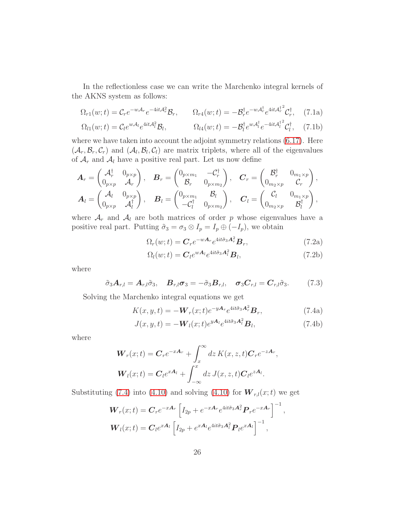In the reflectionless case we can write the Marchenko integral kernels of the AKNS system as follows:

$$
\Omega_{r1}(w;t) = \mathcal{C}_r e^{-w\mathcal{A}_r} e^{-4it\mathcal{A}_r^2} \mathcal{B}_r, \qquad \Omega_{r4}(w;t) = -\mathcal{B}_r^{\dagger} e^{-w\mathcal{A}_r^{\dagger}} e^{4it\mathcal{A}_r^{\dagger^2}} \mathcal{C}_r^{\dagger}, \qquad (7.1a)
$$

$$
\Omega_{l1}(w;t) = \mathcal{C}_{l}e^{w\mathcal{A}_{l}}e^{4it\mathcal{A}_{l}^{2}}\mathcal{B}_{l}, \qquad \Omega_{l4}(w;t) = -\mathcal{B}_{l}^{\dagger}e^{w\mathcal{A}_{l}^{\dagger}}e^{-4it\mathcal{A}_{l}^{\dagger^{2}}}\mathcal{C}_{l}^{\dagger}, \quad (7.1b)
$$

where we have taken into account the adjoint symmetry relations  $(6.17)$ . Here  $(\mathcal{A}_r, \mathcal{B}_r, \mathcal{C}_r)$  and  $(\mathcal{A}_l, \mathcal{B}_l, \mathcal{C}_l)$  are matrix triplets, where all of the eigenvalues of  $\mathcal{A}_r$  and  $\mathcal{A}_l$  have a positive real part. Let us now define

$$
\mathbf{A}_{r} = \begin{pmatrix} \mathcal{A}_{r}^{\dagger} & 0_{p\times p} \\ 0_{p\times p} & \mathcal{A}_{r} \end{pmatrix}, \quad \mathbf{B}_{r} = \begin{pmatrix} 0_{p\times m_{1}} & -\mathcal{C}_{r}^{\dagger} \\ \mathcal{B}_{r} & 0_{p\times m_{2}} \end{pmatrix}, \quad \mathbf{C}_{r} = \begin{pmatrix} \mathcal{B}_{r}^{\dagger} & 0_{m_{1}\times p} \\ 0_{m_{2}\times p} & \mathcal{C}_{r} \end{pmatrix}, \mathbf{A}_{l} = \begin{pmatrix} \mathcal{A}_{l} & 0_{p\times p} \\ 0_{p\times p} & \mathcal{A}_{l}^{\dagger} \end{pmatrix}, \quad \mathbf{B}_{l} = \begin{pmatrix} 0_{p\times m_{1}} & \mathcal{B}_{l} \\ -\mathcal{C}_{l}^{\dagger} & 0_{p\times m_{2}} \end{pmatrix}, \quad \mathbf{C}_{l} = \begin{pmatrix} \mathcal{C}_{l} & 0_{m_{1}\times p} \\ 0_{m_{2}\times p} & \mathcal{B}_{l}^{\dagger} \end{pmatrix},
$$

where  $A_r$  and  $A_l$  are both matrices of order p whose eigenvalues have a positive real part. Putting  $\tilde{\sigma}_3 = \sigma_3 \otimes I_p = I_p \oplus (-I_p)$ , we obtain

$$
\Omega_r(w;t) = \mathbf{C}_r e^{-w\mathbf{A}_r} e^{4it\tilde{\sigma}_3 \mathbf{A}_r^2} \mathbf{B}_r,\tag{7.2a}
$$

<span id="page-25-0"></span>
$$
\Omega_l(w;t) = \mathbf{C}_l e^{w\mathbf{A}_l} e^{4it\tilde{\sigma}_3 \mathbf{A}_l^2} \mathbf{B}_l,
$$
\n(7.2b)

where

<span id="page-25-1"></span>
$$
\tilde{\sigma}_3 \mathbf{A}_{r,l} = \mathbf{A}_{r,l} \tilde{\sigma}_3, \quad \mathbf{B}_{r,l} \boldsymbol{\sigma}_3 = -\tilde{\sigma}_3 \mathbf{B}_{r,l}, \quad \boldsymbol{\sigma}_3 \mathbf{C}_{r,l} = \mathbf{C}_{r,l} \tilde{\sigma}_3. \tag{7.3}
$$

Solving the Marchenko integral equations we get

$$
K(x, y, t) = -\boldsymbol{W}_r(x; t)e^{-y\boldsymbol{A}_r}e^{4it\tilde{\sigma}_3\boldsymbol{A}_r^2}\boldsymbol{B}_r,
$$
\n(7.4a)

$$
J(x, y, t) = -\mathbf{W}_l(x; t)e^{y\mathbf{A}_l}e^{4it\tilde{\sigma}_3\mathbf{A}_l^2}\mathbf{B}_l,
$$
\n(7.4b)

where

$$
\mathbf{W}_r(x;t) = \mathbf{C}_r e^{-x\mathbf{A}_r} + \int_x^{\infty} dz \, K(x,z,t) \mathbf{C}_r e^{-z\mathbf{A}_r},
$$
  

$$
\mathbf{W}_l(x;t) = \mathbf{C}_l e^{x\mathbf{A}_l} + \int_{-\infty}^x dz \, J(x,z,t) \mathbf{C}_l e^{z\mathbf{A}_l}.
$$

Substituting [\(7.4\)](#page-25-0) into [\(4.10\)](#page-15-4) and solving (4.10) for  $\mathbf{W}_{r,l}(x;t)$  we get

$$
\mathbf{W}_r(x;t) = \mathbf{C}_r e^{-x\mathbf{A}_r} \left[ I_{2p} + e^{-x\mathbf{A}_r} e^{4it\tilde{\sigma}_3 \mathbf{A}_r^2} \mathbf{P}_r e^{-x\mathbf{A}_r} \right]^{-1},
$$
  

$$
\mathbf{W}_l(x;t) = \mathbf{C}_l e^{x\mathbf{A}_l} \left[ I_{2p} + e^{x\mathbf{A}_l} e^{4it\tilde{\sigma}_3 \mathbf{A}_l^2} \mathbf{P}_l e^{x\mathbf{A}_l} \right]^{-1},
$$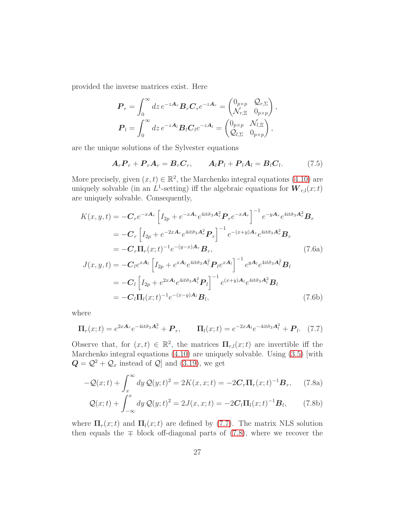provided the inverse matrices exist. Here

$$
\boldsymbol{P}_r = \int_0^\infty dz \, e^{-z\boldsymbol{A}_r} \boldsymbol{B}_r \boldsymbol{C}_r e^{-z\boldsymbol{A}_r} = \begin{pmatrix} 0_{p\times p} & \mathcal{Q}_{r,\Sigma} \\ \mathcal{N}_{r,\Xi} & 0_{p\times p} \end{pmatrix},
$$
\n
$$
\boldsymbol{P}_l = \int_0^\infty dz \, e^{-z\boldsymbol{A}_l} \boldsymbol{B}_l \boldsymbol{C}_l e^{-z\boldsymbol{A}_l} = \begin{pmatrix} 0_{p\times p} & \mathcal{N}_{l,\Xi} \\ \mathcal{Q}_{l,\Sigma} & 0_{p\times p} \end{pmatrix},
$$

are the unique solutions of the Sylvester equations

<span id="page-26-2"></span>
$$
\boldsymbol{A}_r \boldsymbol{P}_r + \boldsymbol{P}_r \boldsymbol{A}_r = \boldsymbol{B}_r \boldsymbol{C}_r, \qquad \boldsymbol{A}_l \boldsymbol{P}_l + \boldsymbol{P}_l \boldsymbol{A}_l = \boldsymbol{B}_l \boldsymbol{C}_l. \tag{7.5}
$$

More precisely, given  $(x, t) \in \mathbb{R}^2$ , the Marchenko integral equations [\(4.10\)](#page-15-4) are uniquely solvable (in an  $L^1$ -setting) iff the algebraic equations for  $\mathbf{W}_{r,l}(x;t)$ are uniquely solvable. Consequently,

$$
K(x, y, t) = -C_r e^{-xA_r} \left[ I_{2p} + e^{-xA_r} e^{4it\tilde{\sigma}_3 A_r^2} \mathbf{P}_r e^{-xA_r} \right]^{-1} e^{-yA_r} e^{4it\tilde{\sigma}_3 A_r^2} \mathbf{B}_r
$$
  
\n
$$
= -C_r \left[ I_{2p} + e^{-2xA_r} e^{4it\tilde{\sigma}_3 A_r^2} \mathbf{P}_r \right]^{-1} e^{-(x+y)A_r} e^{4it\tilde{\sigma}_3 A_r^2} \mathbf{B}_r
$$
  
\n
$$
= -C_r \Pi_r(x; t)^{-1} e^{-(y-x)A_r} \mathbf{B}_r,
$$
  
\n
$$
J(x, y, t) = -C_l e^{xA_l} \left[ I_{2p} + e^{xA_l} e^{4it\tilde{\sigma}_3 A_l^2} \mathbf{P}_l e^{xA_l} \right]^{-1} e^{yA_l} e^{4it\tilde{\sigma}_3 A_l^2} \mathbf{B}_l
$$
  
\n
$$
= -C_l \left[ I_{2p} + e^{2xA_l} e^{4it\tilde{\sigma}_3 A_l^2} \mathbf{P}_l \right]^{-1} e^{(x+y)A_l} e^{4it\tilde{\sigma}_3 A_l^2} \mathbf{B}_l
$$
  
\n
$$
= -C_l \Pi_l(x; t)^{-1} e^{-(x-y)A_l} \mathbf{B}_l,
$$
  
\n(7.6b)

where

<span id="page-26-0"></span>
$$
\Pi_r(x;t) = e^{2x\mathbf{A}_r}e^{-4it\tilde{\sigma}_3\mathbf{A}_r^2} + \mathbf{P}_r, \qquad \Pi_l(x;t) = e^{-2x\mathbf{A}_l}e^{-4it\tilde{\sigma}_3\mathbf{A}_l^2} + \mathbf{P}_l. \tag{7.7}
$$

Observe that, for  $(x,t) \in \mathbb{R}^2$ , the matrices  $\mathbf{\Pi}_{r,l}(x;t)$  are invertible iff the Marchenko integral equations [\(4.10\)](#page-15-4) are uniquely solvable. Using [\(3.5\)](#page-7-2) [with  $\mathbf{Q} = \mathcal{Q}^2 + \mathcal{Q}_x$  instead of  $\mathcal{Q}$  and [\(3.19\)](#page-10-1), we get

<span id="page-26-1"></span>
$$
-\mathcal{Q}(x;t) + \int_x^{\infty} dy \mathcal{Q}(y;t)^2 = 2K(x,x;t) = -2\mathbf{C}_r \mathbf{\Pi}_r(x;t)^{-1} \mathbf{B}_r, \qquad (7.8a)
$$

$$
\mathcal{Q}(x;t) + \int_{-\infty}^x dy \mathcal{Q}(y;t)^2 = 2J(x,x;t) = -2\mathbf{C}_l \mathbf{\Pi}_l(x;t)^{-1} \mathbf{B}_l, \qquad (7.8b)
$$

where  $\Pi_r(x;t)$  and  $\Pi_l(x;t)$  are defined by [\(7.7\)](#page-26-0). The matrix NLS solution then equals the  $\mp$  block off-diagonal parts of [\(7.8\)](#page-26-1), where we recover the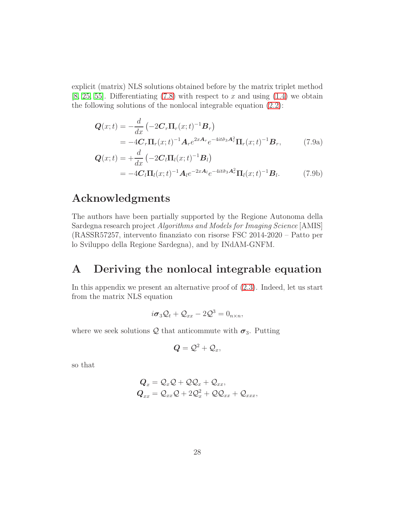explicit (matrix) NLS solutions obtained before by the matrix triplet method [\[8,](#page-38-9) [25,](#page-40-10) [55\]](#page-42-9). Differentiating  $(7.8)$  with respect to x and using  $(1.4)$  we obtain the following solutions of the nonlocal integrable equation [\(2.2\)](#page-4-1):

$$
\mathbf{Q}(x;t) = -\frac{d}{dx} \left( -2\mathbf{C}_r \mathbf{\Pi}_r(x;t)^{-1} \mathbf{B}_r \right)
$$
  
= -4\mathbf{C}\_r \mathbf{\Pi}\_r(x;t)^{-1} \mathbf{A}\_r e^{2x\mathbf{A}\_r} e^{-4it\tilde{\sigma}\_3 \mathbf{A}\_r^2} \mathbf{\Pi}\_r(x;t)^{-1} \mathbf{B}\_r, (7.9a)

<span id="page-27-1"></span>
$$
Q(x;t) = +\frac{d}{dx} \left( -2C_l \Pi_l(x;t)^{-1} B_l \right)
$$
  
= -4C\_l \Pi\_l(x;t)^{-1} A\_l e^{-2x A\_l} e^{-4it\tilde{\sigma}\_3 A\_r^2} \Pi\_l(x;t)^{-1} B\_l. (7.9b)

### Acknowledgments

The authors have been partially supported by the Regione Autonoma della Sardegna research project Algorithms and Models for Imaging Science [AMIS] (RASSR57257, intervento finanziato con risorse FSC 2014-2020 – Patto per lo Sviluppo della Regione Sardegna), and by INdAM-GNFM.

### <span id="page-27-0"></span>A Deriving the nonlocal integrable equation

In this appendix we present an alternative proof of [\(2.3\)](#page-5-1). Indeed, let us start from the matrix NLS equation

$$
i\sigma_3\mathcal{Q}_t+\mathcal{Q}_{xx}-2\mathcal{Q}^3=0_{n\times n},
$$

where we seek solutions  $Q$  that anticommute with  $\sigma_3$ . Putting

$$
\pmb Q = \mathcal Q^2 + \mathcal Q_x,
$$

so that

$$
Q_x = Q_x Q + QQ_x + Q_{xx},
$$
  
\n
$$
Q_{xx} = Q_{xx}Q + 2Q_x^2 + QQ_{xx} + Q_{xxx},
$$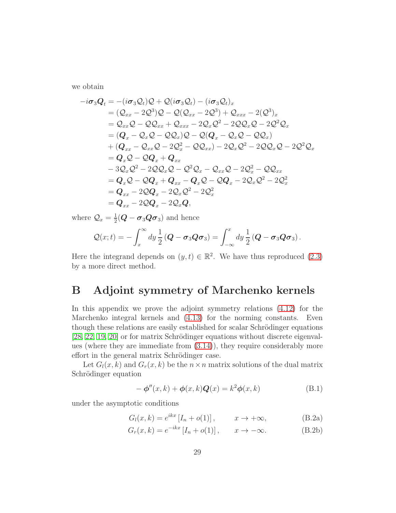we obtain

$$
-i\sigma_3 Q_t = -(i\sigma_3 Q_t)Q + Q(i\sigma_3 Q_t) - (i\sigma_3 Q_t)_x
$$
  
\n
$$
= (Q_{xx} - 2Q^3)Q - Q(Q_{xx} - 2Q^3) + Q_{xxx} - 2(Q^3)_x
$$
  
\n
$$
= Q_{xx}Q - QQ_{xx} + Q_{xxx} - 2Q_xQ^2 - 2QQ_xQ - 2Q^2Q_x
$$
  
\n
$$
= (Q_x - Q_xQ - QQ_x)Q - Q(Q_x - Q_xQ - QQ_x)
$$
  
\n
$$
+ (Q_{xx} - Q_{xx}Q - 2Q_x^2 - QQ_{xx}) - 2Q_xQ^2 - 2QQ_xQ - 2Q^2Q_x
$$
  
\n
$$
= Q_xQ - QQ_x + Q_{xx}
$$
  
\n
$$
-3Q_xQ^2 - 2QQ_xQ - Q^2Q_x - Q_{xx}Q - 2Q_x^2 - QQ_{xx}
$$
  
\n
$$
= Q_xQ - QQ_x + Q_{xx} - Q_xQ - QQ_x - 2Q_xQ^2 - 2Q_x^2
$$
  
\n
$$
= Q_{xx} - 2QQ_x - 2Q_xQ^2 - 2Q_x^2
$$
  
\n
$$
= Q_{xx} - 2QQ_x - 2Q_xQ^2,
$$
  
\n
$$
= Q_{xx} - 2QQ_x - 2Q_xQ,
$$

where  $\mathcal{Q}_x = \frac{1}{2}$  $\frac{1}{2}(\boldsymbol{Q}-\boldsymbol{\sigma}_3 \boldsymbol{Q} \boldsymbol{\sigma}_3)$  and hence

$$
Q(x;t) = -\int_x^\infty dy \frac{1}{2} (Q - \sigma_3 Q \sigma_3) = \int_{-\infty}^x dy \frac{1}{2} (Q - \sigma_3 Q \sigma_3).
$$

Here the integrand depends on  $(y, t) \in \mathbb{R}^2$ . We have thus reproduced  $(2.3)$ by a more direct method.

### <span id="page-28-0"></span>B Adjoint symmetry of Marchenko kernels

In this appendix we prove the adjoint symmetry relations [\(4.12\)](#page-16-3) for the Marchenko integral kernels and [\(4.13\)](#page-16-4) for the norming constants. Even though these relations are easily established for scalar Schrödinger equations  $[28, 22, 19, 20]$  $[28, 22, 19, 20]$  $[28, 22, 19, 20]$  $[28, 22, 19, 20]$  or for matrix Schrödinger equations without discrete eigenvalues (where they are immediate from [\(3.14\)](#page-9-2)), they require considerably more effort in the general matrix Schrödinger case.

Let  $G_l(x, k)$  and  $G_r(x, k)$  be the  $n \times n$  matrix solutions of the dual matrix Schrödinger equation

<span id="page-28-2"></span><span id="page-28-1"></span>
$$
-\phi''(x,k) + \phi(x,k)Q(x) = k^2\phi(x,k)
$$
\n(B.1)

under the asymptotic conditions

$$
G_l(x,k) = e^{ikx} [I_n + o(1)], \qquad x \to +\infty,
$$
 (B.2a)

$$
G_r(x,k) = e^{-ikx} [I_n + o(1)], \qquad x \to -\infty.
$$
 (B.2b)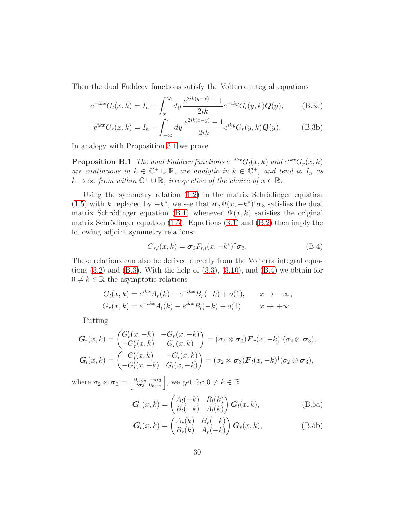Then the dual Faddeev functions satisfy the Volterra integral equations

$$
e^{-ikx}G_l(x,k) = I_n + \int_x^{\infty} dy \frac{e^{2ik(y-x)} - 1}{2ik} e^{-iky}G_l(y,k)Q(y),
$$
 (B.3a)

<span id="page-29-0"></span>
$$
e^{ikx}G_r(x,k) = I_n + \int_{-\infty}^x dy \, \frac{e^{2ik(x-y)} - 1}{2ik} e^{iky} G_r(y,k) \mathbf{Q}(y).
$$
 (B.3b)

In analogy with Proposition [3.1](#page-7-1) we prove

**Proposition B.1** The dual Faddeev functions  $e^{-ikx}G_l(x, k)$  and  $e^{ikx}G_r(x, k)$ are continuous in  $k \in \mathbb{C}^+ \cup \mathbb{R}$ , are analytic in  $k \in \mathbb{C}^+$ , and tend to  $I_n$  as  $k \to \infty$  from within  $\mathbb{C}^+ \cup \mathbb{R}$ , irrespective of the choice of  $x \in \mathbb{R}$ .

Using the symmetry relation  $(1.2)$  in the matrix Schrödinger equation [\(1.5\)](#page-2-1) with k replaced by  $-k^*$ , we see that  $\sigma_3 \Psi(x, -k^*)^{\dagger} \sigma_3$  satisfies the dual matrix Schrödinger equation [\(B.1\)](#page-28-1) whenever  $\Psi(x, k)$  satisfies the original matrix Schrödinger equation  $(1.5)$ . Equations  $(3.1)$  and  $(B.2)$  then imply the following adjoint symmetry relations:

<span id="page-29-1"></span>
$$
G_{r,l}(x,k) = \boldsymbol{\sigma}_3 F_{r,l}(x,-k^*)^{\dagger} \boldsymbol{\sigma}_3. \tag{B.4}
$$

These relations can also be derived directly from the Volterra integral equations  $(3.2)$  and  $(B.3)$ . With the help of  $(3.3)$ ,  $(3.10)$ , and  $(B.4)$  we obtain for  $0 \neq k \in \mathbb{R}$  the asymptotic relations

$$
G_l(x, k) = e^{ikx} A_r(k) - e^{-ikx} B_r(-k) + o(1), \qquad x \to -\infty,
$$
  
\n
$$
G_r(x, k) = e^{-ikx} A_l(k) - e^{ikx} B_l(-k) + o(1), \qquad x \to +\infty.
$$

Putting

$$
G_r(x,k) = \begin{pmatrix} G'_r(x,-k) & -G_r(x,-k) \\ -G'_r(x,k) & G_r(x,k) \end{pmatrix} = (\sigma_2 \otimes \sigma_3) \mathbf{F}_r(x,-k)^{\dagger} (\sigma_2 \otimes \sigma_3),
$$
  

$$
G_l(x,k) = \begin{pmatrix} G'_l(x,k) & -G_l(x,k) \\ -G'_l(x,-k) & G_l(x,-k) \end{pmatrix} = (\sigma_2 \otimes \sigma_3) \mathbf{F}_l(x,-k)^{\dagger} (\sigma_2 \otimes \sigma_3),
$$

where  $\sigma_2 \otimes \sigma_3 = \begin{bmatrix} 0_{n \times n} & -i\sigma_3 \\ i\sigma_3 & 0_{n \times n} \end{bmatrix}$  $\left[\begin{smallmatrix}0_{n\times n} & -i\sigma_3 \\ i\sigma_3 & 0_{n\times n}\end{smallmatrix}\right]$ , we get for  $0\neq k\in\mathbb{R}$ 

<span id="page-29-2"></span>
$$
\boldsymbol{G}_r(x,k) = \begin{pmatrix} A_l(-k) & B_l(k) \\ B_l(-k) & A_l(k) \end{pmatrix} \boldsymbol{G}_l(x,k),\tag{B.5a}
$$

$$
\boldsymbol{G}_{l}(x,k) = \begin{pmatrix} A_{r}(k) & B_{r}(-k) \\ B_{r}(k) & A_{r}(-k) \end{pmatrix} \boldsymbol{G}_{r}(x,k), \qquad (B.5b)
$$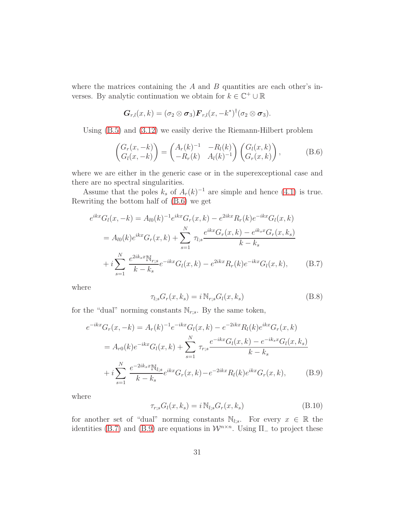where the matrices containing the  $A$  and  $B$  quantities are each other's inverses. By analytic continuation we obtain for  $k \in \mathbb{C}^+ \cup \mathbb{R}$ 

$$
\boldsymbol{G}_{r,l}(x,k)=(\sigma_2\otimes\boldsymbol{\sigma}_3)\boldsymbol{F}_{r,l}(x,-k^*)^\dagger(\sigma_2\otimes\boldsymbol{\sigma}_3).
$$

Using [\(B.5\)](#page-29-2) and [\(3.12\)](#page-8-2) we easily derive the Riemann-Hilbert problem

<span id="page-30-0"></span>
$$
\begin{pmatrix} G_r(x,-k) \\ G_l(x,-k) \end{pmatrix} = \begin{pmatrix} A_r(k)^{-1} & -R_l(k) \\ -R_r(k) & A_l(k)^{-1} \end{pmatrix} \begin{pmatrix} G_l(x,k) \\ G_r(x,k) \end{pmatrix}, \quad (B.6)
$$

where we are either in the generic case or in the superexceptional case and there are no spectral singularities.

Assume that the poles  $k_s$  of  $A_r(k)^{-1}$  are simple and hence [\(4.1\)](#page-13-1) is true. Rewriting the bottom half of [\(B.6\)](#page-30-0) we get

$$
e^{ikx}G_l(x, -k) = A_{l0}(k)^{-1}e^{ikx}G_r(x, k) - e^{2ikx}R_r(k)e^{-ikx}G_l(x, k)
$$
  

$$
= A_{l0}(k)e^{ikx}G_r(x, k) + \sum_{s=1}^N \tau_{l,s} \frac{e^{ikx}G_r(x, k) - e^{iksx}G_r(x, k_s)}{k - k_s}
$$
  

$$
+ i \sum_{s=1}^N \frac{e^{2ik_sx}N_{r,s}}{k - k_s}e^{-ikx}G_l(x, k) - e^{2ikx}R_r(k)e^{-ikx}G_l(x, k), \qquad (B.7)
$$

where

<span id="page-30-3"></span><span id="page-30-1"></span>
$$
\tau_{l;s} G_r(x,k_s) = i \mathbb{N}_{r;s} G_l(x,k_s)
$$
\n(B.8)

for the "dual" norming constants  $\mathbb{N}_{r;s}$ . By the same token,

$$
e^{-ikx}G_r(x, -k) = A_r(k)^{-1}e^{-ikx}G_l(x, k) - e^{-2ikx}R_l(k)e^{ikx}G_r(x, k)
$$
  

$$
= A_{r0}(k)e^{-ikx}G_l(x, k) + \sum_{s=1}^N \tau_{r,s} \frac{e^{-ikx}G_l(x, k) - e^{-ik_sx}G_l(x, k_s)}{k - k_s}
$$
  

$$
+ i \sum_{s=1}^N \frac{e^{-2ik_sx}N_{l;s}}{k - k_s}e^{ikx}G_r(x, k) - e^{-2ikx}R_l(k)e^{ikx}G_r(x, k), \qquad (B.9)
$$

where

<span id="page-30-4"></span><span id="page-30-2"></span>
$$
\tau_{r,s} G_l(x, k_s) = i \mathbb{N}_{l,s} G_r(x, k_s)
$$
\n(B.10)

for another set of "dual" norming constants  $\mathbb{N}_{l;s}$ . For every  $x \in \mathbb{R}$  the identities [\(B.7\)](#page-30-1) and [\(B.9\)](#page-30-2) are equations in  $\mathcal{W}^{n \times n}$ . Using  $\Pi_{-}$  to project these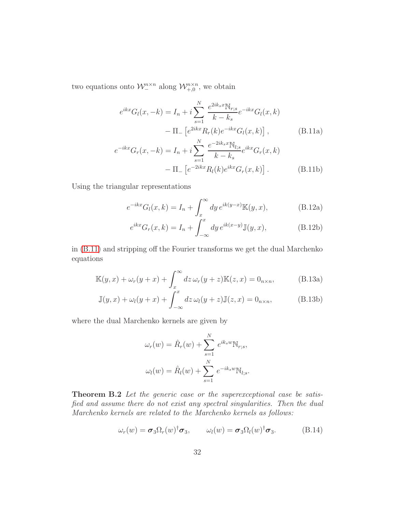two equations onto  $\mathcal{W}^{n \times n}_{-}$  along  $\mathcal{W}^{n \times n}_{+,0}$ , we obtain

<span id="page-31-0"></span>
$$
e^{ikx}G_l(x, -k) = I_n + i \sum_{s=1}^{N} \frac{e^{2ik_sx}N_{r;s}}{k - k_s} e^{-ikx}G_l(x, k)
$$

$$
- \Pi_- \left[e^{2ikx}R_r(k)e^{-ikx}G_l(x, k)\right], \qquad (B.11a)
$$

$$
e^{-ikx}G_r(x, -k) = I_n + i \sum_{s=1}^{N} \frac{e^{-2ik_sx}N_{l;s}}{k - k_s} e^{ikx}G_r(x, k)
$$

$$
- \Pi_- \left[ e^{-2ikx}R_l(k)e^{ikx}G_r(x, k) \right].
$$
(B.11b)

Using the triangular representations

<span id="page-31-5"></span>
$$
e^{-ikx}G_l(x,k) = I_n + \int_x^{\infty} dy \, e^{ik(y-x)} \mathbb{K}(y,x), \tag{B.12a}
$$

$$
e^{ikx}G_r(x,k) = I_n + \int_{-\infty}^x dy \, e^{ik(x-y)} \mathbb{J}(y,x),\tag{B.12b}
$$

in [\(B.11\)](#page-31-0) and stripping off the Fourier transforms we get the dual Marchenko equations

<span id="page-31-1"></span>
$$
\mathbb{K}(y,x) + \omega_r(y+x) + \int_x^{\infty} dz \,\omega_r(y+z)\mathbb{K}(z,x) = 0_{n \times n},
$$
 (B.13a)

$$
\mathbb{J}(y,x) + \omega_l(y+x) + \int_{-\infty}^x dz \,\omega_l(y+z)\mathbb{J}(z,x) = 0_{n \times n},
$$
 (B.13b)

where the dual Marchenko kernels are given by

<span id="page-31-3"></span><span id="page-31-2"></span>
$$
\omega_r(w) = \hat{R}_r(w) + \sum_{s=1}^N e^{ik_s w} N_{r;s},
$$

$$
\omega_l(w) = \hat{R}_l(w) + \sum_{s=1}^N e^{-ik_s w} N_{l;s}.
$$

Theorem B.2 Let the generic case or the superexceptional case be satisfied and assume there do not exist any spectral singularities. Then the dual Marchenko kernels are related to the Marchenko kernels as follows:

<span id="page-31-4"></span>
$$
\omega_r(w) = \boldsymbol{\sigma}_3 \Omega_r(w)^\dagger \boldsymbol{\sigma}_3, \qquad \omega_l(w) = \boldsymbol{\sigma}_3 \Omega_l(w)^\dagger \boldsymbol{\sigma}_3. \tag{B.14}
$$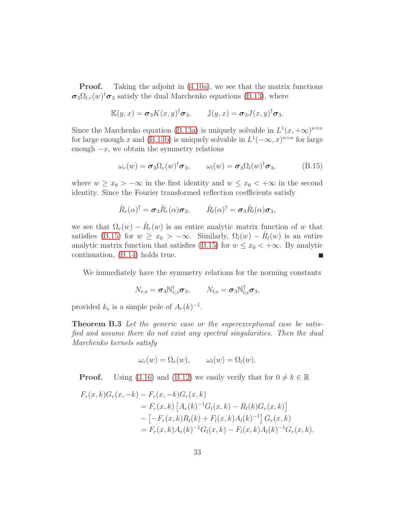**Proof.** Taking the adjoint in [\(4.10a\)](#page-15-1), we see that the matrix functions  $\sigma_3 \Omega_{l,r}(w)^\dagger \sigma_3$  satisfy the dual Marchenko equations [\(B.13\)](#page-31-1), where

$$
\mathbb{K}(y,x) = \boldsymbol{\sigma}_3 K(x,y)^\dagger \boldsymbol{\sigma}_3, \qquad \mathbb{J}(y,x) = \boldsymbol{\sigma}_3 J(x,y)^\dagger \boldsymbol{\sigma}_3.
$$

Since the Marchenko equation [\(B.13a\)](#page-31-2) is uniquely solvable in  $L^1(x, +\infty)^{n \times n}$ for large enough x and [\(B.13b\)](#page-31-3) is uniquely solvable in  $L^1(-\infty, x)^{n \times n}$  for large enough  $-x$ , we obtain the symmetry relations

<span id="page-32-0"></span>
$$
\omega_r(w) = \boldsymbol{\sigma}_3 \Omega_r(w)^\dagger \boldsymbol{\sigma}_3, \qquad \omega_l(w) = \boldsymbol{\sigma}_3 \Omega_l(w)^\dagger \boldsymbol{\sigma}_3, \tag{B.15}
$$

where  $w \geq x_0 > -\infty$  in the first identity and  $w \leq x_0 < +\infty$  in the second identity. Since the Fourier transformed reflection coefficients satisfy

$$
\hat{R}_r(\alpha)^\dagger = \boldsymbol{\sigma}_3 \hat{R}_r(\alpha) \boldsymbol{\sigma}_3, \qquad \hat{R}_l(\alpha)^\dagger = \boldsymbol{\sigma}_3 \hat{R}_l(\alpha) \boldsymbol{\sigma}_3,
$$

we see that  $\Omega_r(w) - \hat{R}_r(w)$  is an entire analytic matrix function of w that satisfies [\(B.15\)](#page-32-0) for  $w \ge x_0 > -\infty$ . Similarly,  $\Omega_l(w) - \hat{R}_l(w)$  is an entire analytic matrix function that satisfies [\(B.15\)](#page-32-0) for  $w \leq x_0 < +\infty$ . By analytic continuation, [\(B.14\)](#page-31-4) holds true. г

We immediately have the symmetry relations for the norming constants

$$
N_{r;s} = \boldsymbol{\sigma}_3 \mathbb{N}_{r;s}^{\dagger} \boldsymbol{\sigma}_3, \qquad N_{l;s} = \boldsymbol{\sigma}_3 \mathbb{N}_{l;s}^{\dagger} \boldsymbol{\sigma}_3,
$$

<span id="page-32-1"></span>provided  $k_s$  is a simple pole of  $A_r(k)^{-1}$ .

**Theorem B.3** Let the generic case or the superexceptional case be satisfied and assume there do not exist any spectral singularities. Then the dual Marchenko kernels satisfy

$$
\omega_r(w) = \Omega_r(w), \qquad \omega_l(w) = \Omega_l(w).
$$

**Proof.** Using [\(3.16\)](#page-9-0) and [\(B.12\)](#page-31-5) we easily verify that for  $0 \neq k \in \mathbb{R}$ 

$$
F_r(x,k)G_r(x,-k) - F_r(x,-k)G_r(x,k)
$$
  
=  $F_r(x,k)$   $[A_r(k)^{-1}G_l(x,k) - R_l(k)G_r(x,k)]$   
 $- [-F_r(x,k)R_l(k) + F_l(x,k)A_l(k)^{-1}] G_r(x,k)$   
=  $F_r(x,k)A_r(k)^{-1}G_l(x,k) - F_l(x,k)A_l(k)^{-1}G_r(x,k),$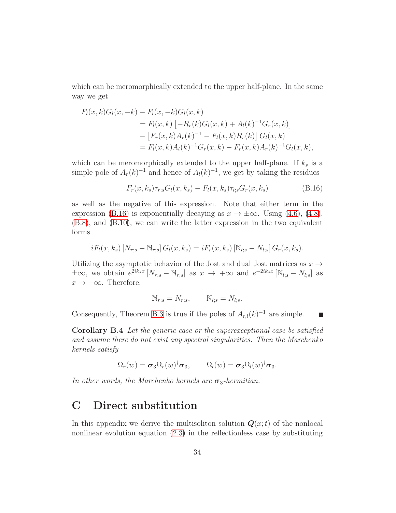which can be meromorphically extended to the upper half-plane. In the same way we get

$$
F_l(x,k)G_l(x,-k) - F_l(x,-k)G_l(x,k)
$$
  
=  $F_l(x,k)$  [- $R_r(k)G_l(x,k)$  +  $A_l(k)^{-1}G_r(x,k)$ ]  
-  $[F_r(x,k)A_r(k)^{-1} - F_l(x,k)R_r(k)] G_l(x,k)$   
=  $F_l(x,k)A_l(k)^{-1}G_r(x,k) - F_r(x,k)A_r(k)^{-1}G_l(x,k),$ 

which can be meromorphically extended to the upper half-plane. If  $k_s$  is a simple pole of  $A_r(k)^{-1}$  and hence of  $A_l(k)^{-1}$ , we get by taking the residues

<span id="page-33-2"></span>
$$
F_r(x, k_s) \tau_{r,s} G_l(x, k_s) - F_l(x, k_s) \tau_{l,s} G_r(x, k_s)
$$
 (B.16)

as well as the negative of this expression. Note that either term in the expression [\(B.16\)](#page-33-2) is exponentially decaying as  $x \to \pm \infty$ . Using [\(4.6\)](#page-14-3), [\(4.8\)](#page-15-3), [\(B.8\)](#page-30-3), and [\(B.10\)](#page-30-4), we can write the latter expression in the two equivalent forms

$$
iF_l(x, k_s) [N_{r;s} - N_{r;s}] G_l(x, k_s) = iF_r(x, k_s) [N_{l;s} - N_{l;s}] G_r(x, k_s).
$$

Utilizing the asymptotic behavior of the Jost and dual Jost matrices as  $x \rightarrow$  $\pm \infty$ , we obtain  $e^{2ik_sx}[N_{r;s} - N_{r;s}]$  as  $x \to +\infty$  and  $e^{-2ik_sx}[N_{l;s} - N_{l;s}]$  as  $x \rightarrow -\infty$ . Therefore,

$$
\mathbb{N}_{r;s}=N_{r;s},\qquad \mathbb{N}_{l;s}=N_{l;s}.
$$

<span id="page-33-1"></span>Consequently, Theorem [B.3](#page-32-1) is true if the poles of  $A_{r,l}(k)^{-1}$  are simple.

Corollary B.4 Let the generic case or the superexceptional case be satisfied and assume there do not exist any spectral singularities. Then the Marchenko kernels satisfy

$$
\Omega_r(w) = \sigma_3 \Omega_r(w)^\dagger \sigma_3, \qquad \Omega_l(w) = \sigma_3 \Omega_l(w)^\dagger \sigma_3.
$$

<span id="page-33-0"></span>In other words, the Marchenko kernels are  $\sigma_3$ -hermitian.

### C Direct substitution

In this appendix we derive the multisoliton solution  $Q(x;t)$  of the nonlocal nonlinear evolution equation [\(2.3\)](#page-5-1) in the reflectionless case by substituting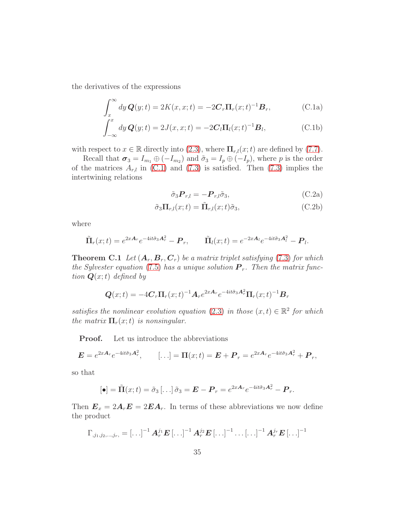the derivatives of the expressions

<span id="page-34-0"></span>
$$
\int_{x}^{\infty} dy \, \mathbf{Q}(y;t) = 2K(x,x;t) = -2\mathbf{C}_r \mathbf{\Pi}_r(x;t)^{-1} \mathbf{B}_r, \tag{C.1a}
$$

$$
\int_{-\infty}^{x} dy \, \mathbf{Q}(y; t) = 2J(x, x; t) = -2\mathbf{C}_l \mathbf{\Pi}_l(x; t)^{-1} \mathbf{B}_l,
$$
\n(C.1b)

with respect to  $x \in \mathbb{R}$  directly into [\(2.3\)](#page-5-1), where  $\Pi_{r,l}(x;t)$  are defined by [\(7.7\)](#page-26-0).

Recall that  $\sigma_3 = I_{m_1} \oplus (-I_{m_2})$  and  $\tilde{\sigma}_3 = I_p \oplus (-I_p)$ , where p is the order of the matrices  $A_{r,l}$  in [\(C.1\)](#page-34-0) and [\(7.3\)](#page-25-1) is satisfied. Then (7.3) implies the intertwining relations

$$
\tilde{\sigma}_3 \boldsymbol{P}_{r,l} = -\boldsymbol{P}_{r,l} \tilde{\sigma}_3,\tag{C.2a}
$$

$$
\tilde{\sigma}_3 \Pi_{r,l}(x;t) = \tilde{\Pi}_{r,l}(x;t)\tilde{\sigma}_3,\tag{C.2b}
$$

where

$$
\tilde{\mathbf{\Pi}}_r(x;t) = e^{2x\mathbf{A}_r}e^{-4it\tilde{\sigma}_3\mathbf{A}_r^2} - \mathbf{P}_r, \qquad \tilde{\mathbf{\Pi}}_l(x;t) = e^{-2x\mathbf{A}_l}e^{-4it\tilde{\sigma}_3\mathbf{A}_l^2} - \mathbf{P}_l.
$$

<span id="page-34-1"></span>**Theorem C.1** Let  $(A_r, B_r, C_r)$  be a matrix triplet satisfying [\(7.3\)](#page-25-1) for which the Sylvester equation [\(7.5\)](#page-26-2) has a unique solution  $P_r$ . Then the matrix function  $\mathbf{Q}(x;t)$  defined by

$$
\mathbf{Q}(x;t) = -4\mathbf{C}_r \mathbf{\Pi}_r(x;t)^{-1} \mathbf{A}_r e^{2x\mathbf{A}_r} e^{-4it\tilde{\sigma}_3 \mathbf{A}_r^2} \mathbf{\Pi}_r(x;t)^{-1} \mathbf{B}_r
$$

satisfies the nonlinear evolution equation [\(2.3\)](#page-5-1) in those  $(x, t) \in \mathbb{R}^2$  for which the matrix  $\Pi_r(x;t)$  is nonsingular.

Proof. Let us introduce the abbreviations

$$
\mathbf{E}=e^{2x\mathbf{A}_r}e^{-4it\tilde{\sigma}_3\mathbf{A}_r^2}, \qquad [\ldots]=\mathbf{\Pi}(x;t)=\mathbf{E}+\mathbf{P}_r=e^{2x\mathbf{A}_r}e^{-4it\tilde{\sigma}_3\mathbf{A}_r^2}+\mathbf{P}_r,
$$

so that

$$
[\bullet] = \tilde{\mathbf{\Pi}}(x;t) = \tilde{\sigma}_3\left[\dots\right]\tilde{\sigma}_3 = \boldsymbol{E} - \boldsymbol{P}_r = e^{2x\boldsymbol{A}_r}e^{-4it\tilde{\sigma}_3\boldsymbol{A}_r^2} - \boldsymbol{P}_r.
$$

Then  $\mathbf{E}_x = 2\mathbf{A}_r \mathbf{E} = 2\mathbf{E}\mathbf{A}_r$ . In terms of these abbreviations we now define the product

$$
\Gamma_{,j_{1},j_{2},...,j_{r},}=\left[\ldots\right]^{-1}\boldsymbol{A}_{r}^{j_{1}}\boldsymbol{E}\left[\ldots\right]^{-1}\boldsymbol{A}_{r}^{j_{2}}\boldsymbol{E}\left[\ldots\right]^{-1}\ldots\left[\ldots\right]^{-1}\boldsymbol{A}_{r}^{j_{r}}\boldsymbol{E}\left[\ldots\right]^{-1}
$$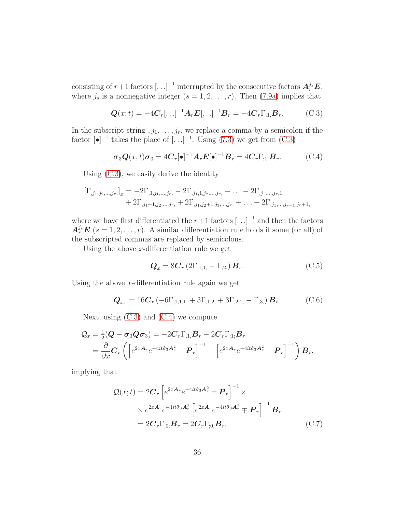consisting of  $r+1$  factors  $\left[ \ldots \right]^{-1}$  interrupted by the consecutive factors  $A_r^{j_s}E$ , where  $j_s$  is a nonnegative integer  $(s = 1, 2, \ldots, r)$ . Then [\(7.9a\)](#page-27-1) implies that

<span id="page-35-0"></span>
$$
\mathbf{Q}(x;t) = -4\mathbf{C}_r[\ldots]^{-1}\mathbf{A}_r\mathbf{E}[\ldots]^{-1}\mathbf{B}_r = -4\mathbf{C}_r\Gamma_{,1,}\mathbf{B}_r. \tag{C.3}
$$

In the subscript string  $, j_1, \ldots, j_r$ , we replace a comma by a semicolon if the factor  $\lbrack \bullet \rbrack^{-1}$  takes the place of  $\lbrack \dots \rbrack^{-1}$ . Using [\(7.3\)](#page-25-1) we get from [\(C.3\)](#page-35-0)

<span id="page-35-1"></span>
$$
\sigma_3 \mathbf{Q}(x;t)\sigma_3 = 4\mathbf{C}_r[\bullet]^{-1}\mathbf{A}_r \mathbf{E}[\bullet]^{-1}\mathbf{B}_r = 4\mathbf{C}_r \Gamma_{;1;}\mathbf{B}_r. \tag{C.4}
$$

Using [\(C.3\)](#page-35-0), we easily derive the identity

$$
\begin{aligned} \left[\Gamma_{,j_1,j_2,...,j_r}\right]_x &= -2\Gamma_{,1,j_1,...,j_r} - 2\Gamma_{,j_1,1,j_2,...,j_r} - \ldots - 2\Gamma_{,j_1,...,j_r,1} \\ &+ 2\Gamma_{,j_1+1,j_2,...,j_r} + 2\Gamma_{,j_1,j_2+1,j_3,...,j_r} + \ldots + 2\Gamma_{,j_1,...,j_{r-1},j_r+1,1} \end{aligned}
$$

where we have first differentiated the  $r+1$  factors  $\left[ \ldots \right]^{-1}$  and then the factors  $A_r^{j_s}$   $\boldsymbol{E}$   $(s = 1, 2, \ldots, r)$ . A similar differentiation rule holds if some (or all) of the subscripted commas are replaced by semicolons.

Using the above  $x$ -differentiation rule we get

<span id="page-35-2"></span>
$$
\mathbf{Q}_x = 8\mathbf{C}_r \left(2\Gamma_{,1,1,} - \Gamma_{,2,}\right) \mathbf{B}_r. \tag{C.5}
$$

Using the above  $x$ -differentiation rule again we get

<span id="page-35-4"></span>
$$
\mathbf{Q}_{xx} = 16\mathbf{C}_r \left( -6\Gamma_{,1,1,1,} + 3\Gamma_{,1,2,} + 3\Gamma_{,2,1,} - \Gamma_{,3,} \right) \mathbf{B}_r. \tag{C.6}
$$

Next, using  $(C.3)$  and  $(C.4)$  we compute

$$
Q_x = \frac{1}{2}(\boldsymbol{Q} - \boldsymbol{\sigma}_3 \boldsymbol{Q} \boldsymbol{\sigma}_3) = -2\boldsymbol{C}_r \Gamma_{,1,} \boldsymbol{B}_r - 2\boldsymbol{C}_r \Gamma_{,1,} \boldsymbol{B}_r
$$
  
=  $\frac{\partial}{\partial x} \boldsymbol{C}_r \left( \left[ e^{2x\boldsymbol{A}_r} e^{-4it\tilde{\sigma}_3 \boldsymbol{A}_r^2} + \boldsymbol{P}_r \right]^{-1} + \left[ e^{2x\boldsymbol{A}_r} e^{-4it\tilde{\sigma}_3 \boldsymbol{A}_r^2} - \boldsymbol{P}_r \right]^{-1} \right) \boldsymbol{B}_r,$ 

implying that

<span id="page-35-3"></span>
$$
\mathcal{Q}(x;t) = 2\mathbf{C}_r \left[ e^{2x\mathbf{A}_r} e^{-4it\tilde{\sigma}_3 \mathbf{A}_r^2} \pm \mathbf{P}_r \right]^{-1} \times
$$
  
 
$$
\times e^{2x\mathbf{A}_r} e^{-4it\tilde{\sigma}_3 \mathbf{A}_r^2} \left[ e^{2x\mathbf{A}_r} e^{-4it\tilde{\sigma}_3 \mathbf{A}_r^2} \mp \mathbf{P}_r \right]^{-1} \mathbf{B}_r
$$
  
= 
$$
2\mathbf{C}_r \Gamma_{,0;} \mathbf{B}_r = 2\mathbf{C}_r \Gamma_{,0;} \mathbf{B}_r,
$$
 (C.7)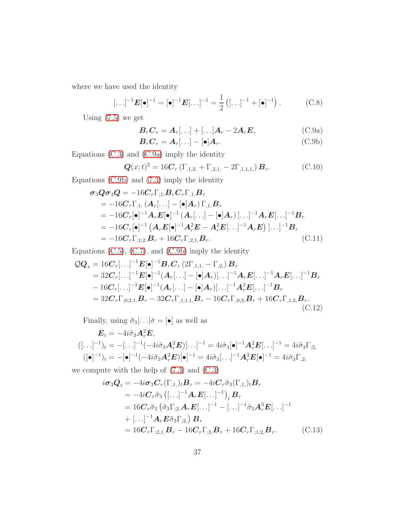where we have used the identity

<span id="page-36-6"></span>
$$
[\ldots]^{-1} \mathbf{E}[\bullet]^{-1} = [\bullet]^{-1} \mathbf{E}[\ldots]^{-1} = \frac{1}{2} ([\ldots]^{-1} + [\bullet]^{-1}). \tag{C.8}
$$

Using  $(7.5)$  we get

<span id="page-36-0"></span>
$$
\boldsymbol{B}_r \boldsymbol{C}_r = \boldsymbol{A}_r[\ldots] + [\ldots] \boldsymbol{A}_r - 2 \boldsymbol{A}_r \boldsymbol{E}, \tag{C.9a}
$$

<span id="page-36-4"></span><span id="page-36-1"></span>
$$
\boldsymbol{B}_r \boldsymbol{C}_r = \boldsymbol{A}_r[\ldots] - [\bullet] \boldsymbol{A}_r. \tag{C.9b}
$$

Equations [\(C.3\)](#page-35-0) and [\(C.9a\)](#page-36-0) imply the identity

<span id="page-36-3"></span>
$$
\mathbf{Q}(x;t)^2 = 16\mathbf{C}_r (\Gamma_{,1,2,1} + \Gamma_{,2,1,1} - 2\Gamma_{,1,1,1,1}) \mathbf{B}_r.
$$
 (C.10)

Equations [\(C.9b\)](#page-36-1) and [\(7.3\)](#page-25-1) imply the identity

$$
\sigma_3 Q \sigma_3 Q = -16C_r \Gamma_{;1;} B_r C_r \Gamma_{,1,} B_r \n= -16C_r \Gamma_{;1;} (A_r[...] - [\bullet] A_r) \Gamma_{,1,} B_r \n= -16C_r [\bullet]^{-1} A_r E[\bullet]^{-1} (A_r[...] - [\bullet] A_r) [...]^{-1} A_r E[...]^{-1} B_r \n= -16C_r [\bullet]^{-1} (A_r E[\bullet]^{-1} A_r^2 E - A_r^2 E[...]^{-1} A_r E) [...]^{-1} B_r \n= -16C_r \Gamma_{;1;2,} B_r + 16C_r \Gamma_{;2,1,} B_r.
$$
\n(C.11)

Equations [\(C.5\)](#page-35-2), [\(C.7\)](#page-35-3), and [\(C.9b\)](#page-36-1) imply the identity

$$
QQ_x = 16C_r[\ldots]^{-1} E[\bullet]^{-1} B_r C_r (2\Gamma_{,1,1} - \Gamma_{,2}) B_r
$$
  
\n
$$
= 32C_r[\ldots]^{-1} E[\bullet]^{-1} (A_r[\ldots] - [\bullet] A_r)[\ldots]^{-1} A_r E[\ldots]^{-1} A_r E[\ldots]^{-1} B_r
$$
  
\n
$$
- 16C_r[\ldots]^{-1} E[\bullet]^{-1} (A_r[\ldots] - [\bullet] A_r)[\ldots]^{-1} A_r^2 E[\ldots]^{-1} B_r
$$
  
\n
$$
= 32C_r \Gamma_{,0;2,1} B_r - 32C_r \Gamma_{,1,1,1} B_r - 16C_r \Gamma_{,0;3} B_r + 16C_r \Gamma_{,1,2} B_r.
$$
  
\n(C.12)

Finally, using  $\tilde{\sigma}_3[\ldots]\tilde{\sigma} = [\bullet]$  as well as

$$
\mathbf{E}_t = -4i\tilde{\sigma}_3 \mathbf{A}_r^2 \mathbf{E},
$$
  

$$
([\ldots]^{-1})_t = -[\ldots]^{-1}(-4i\tilde{\sigma}_3 \mathbf{A}_r^2 \mathbf{E})[\ldots]^{-1} = 4i\tilde{\sigma}_3[\bullet]^{-1} \mathbf{A}_r^2 \mathbf{E}[\ldots]^{-1} = 4i\tilde{\sigma}_3 \Gamma_{;2},
$$
  

$$
([\bullet]^{-1})_t = -[\bullet]^{-1}(-4i\tilde{\sigma}_3 \mathbf{A}_r^2 \mathbf{E})[\bullet]^{-1} = 4i\tilde{\sigma}_3[\ldots]^{-1} \mathbf{A}_r^2 \mathbf{E}[\bullet]^{-1} = 4i\tilde{\sigma}_3 \Gamma_{,2};
$$

we compute with the help of [\(7.3\)](#page-25-1) and [\(C.3\)](#page-35-0)

<span id="page-36-5"></span><span id="page-36-2"></span>
$$
i\sigma_3 Q_t = -4i\sigma_3 C_r(\Gamma_{,1,})_t B_r = -4iC_r \tilde{\sigma}_3(\Gamma_{,1,})_t B_r
$$
  
\n
$$
= -4iC_r \tilde{\sigma}_3 ([\ldots]^{-1} A_r E[\ldots]^{-1})_t B_r
$$
  
\n
$$
= 16C_r \tilde{\sigma}_3 (\tilde{\sigma}_3 \Gamma_{,2,} A_r E[\ldots]^{-1} - [\ldots]^{-1} \tilde{\sigma}_3 A_r^3 E[\ldots]^{-1}
$$
  
\n
$$
+ [\ldots]^{-1} A_r E \tilde{\sigma}_3 \Gamma_{,2,} B_r
$$
  
\n
$$
= 16C_r \Gamma_{,2,1,} B_r - 16C_r \Gamma_{,3,} B_r + 16C_r \Gamma_{,1,2,} B_r. \qquad (C.13)
$$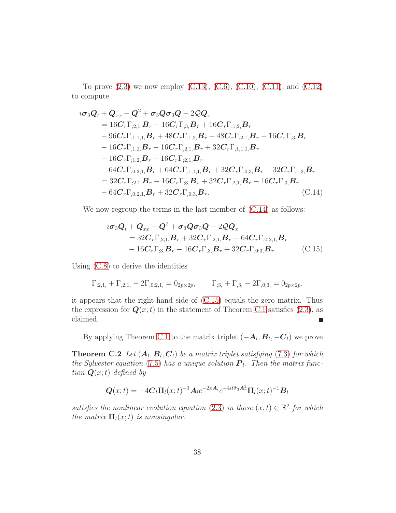To prove  $(2.3)$  we now employ  $(C.13)$ ,  $(C.6)$ ,  $(C.10)$ ,  $(C.11)$ , and  $(C.12)$ to compute

$$
i\sigma_3 Q_t + Q_{xx} - Q^2 + \sigma_3 Q \sigma_3 Q - 2Q Q_x
$$
  
\n
$$
= 16C_r \Gamma_{,2,1} B_r - 16C_r \Gamma_{,3} B_r + 16C_r \Gamma_{,1,2} B_r
$$
  
\n
$$
- 96C_r \Gamma_{,1,1,1} B_r + 48C_r \Gamma_{,1,2} B_r + 48C_r \Gamma_{,2,1} B_r - 16C_r \Gamma_{,3} B_r
$$
  
\n
$$
- 16C_r \Gamma_{,1,2} B_r - 16C_r \Gamma_{,2,1} B_r + 32C_r \Gamma_{,1,1,1} B_r
$$
  
\n
$$
- 16C_r \Gamma_{,1,2} B_r + 16C_r \Gamma_{,2,1} B_r
$$
  
\n
$$
- 64C_r \Gamma_{,0,2,1} B_r + 64C_r \Gamma_{,1,1,1} B_r + 32C_r \Gamma_{,0,3} B_r - 32C_r \Gamma_{,1,2} B_r
$$
  
\n
$$
= 32C_r \Gamma_{,2,1} B_r - 16C_r \Gamma_{,3} B_r + 32C_r \Gamma_{,2,1} B_r - 16C_r \Gamma_{,3} B_r
$$
  
\n
$$
- 64C_r \Gamma_{,0,2,1} B_r + 32C_r \Gamma_{,0,3} B_r.
$$
 (C.14)

We now regroup the terms in the last member of  $(C.14)$  as follows:

<span id="page-37-1"></span><span id="page-37-0"></span>
$$
i\sigma_3 Q_t + Q_{xx} - Q^2 + \sigma_3 Q \sigma_3 Q - 2Q Q_x
$$
  
= 32C<sub>r</sub>Gamma<sub>3,1</sub>, B<sub>r</sub> + 32C<sub>r</sub>Gamma<sub>2,1</sub>, B<sub>r</sub> - 64C<sub>r</sub>Gamma<sub>0,2,1</sub>, B<sub>r</sub>  
- 16C<sub>r</sub>Gamma<sub>3,3</sub>, B<sub>r</sub> - 16C<sub>r</sub>Gamma<sub>3,3</sub>, B<sub>r</sub> + 32C<sub>r</sub>Gamma<sub>0,3</sub>, B<sub>r</sub>. (C.15)

Using [\(C.8\)](#page-36-6) to derive the identities

$$
\Gamma_{;2,1,} + \Gamma_{,2,1,} - 2\Gamma_{,0;2,1,} = 0_{2p \times 2p}, \qquad \Gamma_{;3,} + \Gamma_{,3,} - 2\Gamma_{,0;3,} = 0_{2p \times 2p},
$$

it appears that the right-hand side of [\(C.15\)](#page-37-1) equals the zero matrix. Thus the expression for  $Q(x;t)$  in the statement of Theorem [C.1](#page-34-1) satisfies [\(2.3\)](#page-5-1), as claimed.

By applying Theorem [C.1](#page-34-1) to the matrix triplet  $(-A_l, B_l, -C_l)$  we prove

**Theorem C.2** Let  $(A_l, B_l, C_l)$  be a matrix triplet satisfying [\(7.3\)](#page-25-1) for which the Sylvester equation [\(7.5\)](#page-26-2) has a unique solution  $P_l$ . Then the matrix function  $\mathbf{Q}(x;t)$  defined by

$$
\mathbf{Q}(x;t) = -4\mathbf{C}_l \mathbf{\Pi}_l(x;t)^{-1} \mathbf{A}_l e^{-2x\mathbf{A}_l} e^{-4it\tilde{\sigma}_3 \mathbf{A}_r^2} \mathbf{\Pi}_l(x;t)^{-1} \mathbf{B}_l
$$

satisfies the nonlinear evolution equation [\(2.3\)](#page-5-1) in those  $(x, t) \in \mathbb{R}^2$  for which the matrix  $\Pi_l(x;t)$  is nonsingular.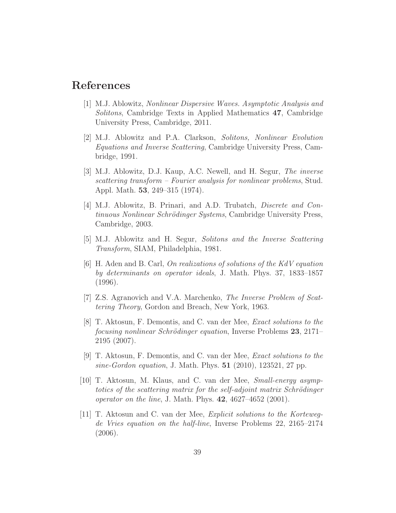### <span id="page-38-0"></span>References

- [1] M.J. Ablowitz, Nonlinear Dispersive Waves. Asymptotic Analysis and Solitons, Cambridge Texts in Applied Mathematics 47, Cambridge University Press, Cambridge, 2011.
- <span id="page-38-4"></span>[2] M.J. Ablowitz and P.A. Clarkson, Solitons, Nonlinear Evolution Equations and Inverse Scattering, Cambridge University Press, Cambridge, 1991.
- <span id="page-38-2"></span>[3] M.J. Ablowitz, D.J. Kaup, A.C. Newell, and H. Segur, The inverse scattering transform – Fourier analysis for nonlinear problems, Stud. Appl. Math. 53, 249–315 (1974).
- <span id="page-38-3"></span>[4] M.J. Ablowitz, B. Prinari, and A.D. Trubatch, Discrete and Continuous Nonlinear Schrödinger Systems, Cambridge University Press, Cambridge, 2003.
- <span id="page-38-7"></span><span id="page-38-1"></span>[5] M.J. Ablowitz and H. Segur, Solitons and the Inverse Scattering Transform, SIAM, Philadelphia, 1981.
- [6] H. Aden and B. Carl, On realizations of solutions of the KdV equation by determinants on operator ideals, J. Math. Phys. 37, 1833–1857 (1996).
- <span id="page-38-9"></span><span id="page-38-5"></span>[7] Z.S. Agranovich and V.A. Marchenko, The Inverse Problem of Scattering Theory, Gordon and Breach, New York, 1963.
- [8] T. Aktosun, F. Demontis, and C. van der Mee, Exact solutions to the *focusing nonlinear Schrödinger equation*, Inverse Problems  $23$ ,  $2171-$ 2195 (2007).
- <span id="page-38-10"></span>[9] T. Aktosun, F. Demontis, and C. van der Mee, Exact solutions to the sine-Gordon equation, J. Math. Phys.  $51$  (2010), 123521, 27 pp.
- <span id="page-38-6"></span>[10] T. Aktosun, M. Klaus, and C. van der Mee, Small-energy asymptotics of the scattering matrix for the self-adjoint matrix Schrödinger operator on the line, J. Math. Phys. 42, 4627–4652 (2001).
- <span id="page-38-8"></span>[11] T. Aktosun and C. van der Mee, Explicit solutions to the Kortewegde Vries equation on the half-line, Inverse Problems 22, 2165–2174 (2006).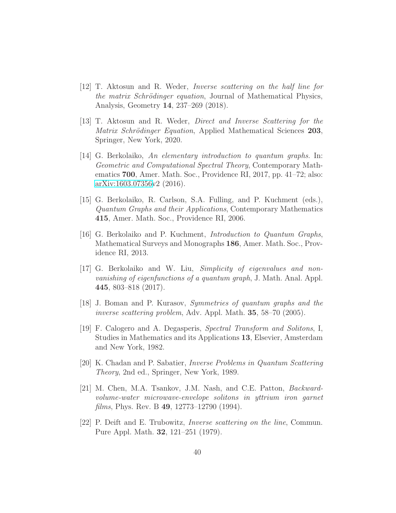- <span id="page-39-9"></span>[12] T. Aktosun and R. Weder, Inverse scattering on the half line for the matrix Schrödinger equation, Journal of Mathematical Physics, Analysis, Geometry 14, 237–269 (2018).
- <span id="page-39-10"></span>[13] T. Aktosun and R. Weder, Direct and Inverse Scattering for the Matrix Schrödinger Equation, Applied Mathematical Sciences 203, Springer, New York, 2020.
- <span id="page-39-2"></span>[14] G. Berkolaiko, An elementary introduction to quantum graphs. In: Geometric and Computational Spectral Theory, Contemporary Mathematics 700, Amer. Math. Soc., Providence RI, 2017, pp. 41–72; also: [arXiv:1603.07356v](http://arxiv.org/abs/1603.07356)2 (2016).
- <span id="page-39-3"></span>[15] G. Berkolaiko, R. Carlson, S.A. Fulling, and P. Kuchment (eds.), Quantum Graphs and their Applications, Contemporary Mathematics 415, Amer. Math. Soc., Providence RI, 2006.
- <span id="page-39-4"></span>[16] G. Berkolaiko and P. Kuchment, Introduction to Quantum Graphs, Mathematical Surveys and Monographs 186, Amer. Math. Soc., Providence RI, 2013.
- <span id="page-39-5"></span>[17] G. Berkolaiko and W. Liu, Simplicity of eigenvalues and nonvanishing of eigenfunctions of a quantum graph, J. Math. Anal. Appl. 445, 803–818 (2017).
- <span id="page-39-6"></span><span id="page-39-1"></span>[18] J. Boman and P. Kurasov, Symmetries of quantum graphs and the inverse scattering problem, Adv. Appl. Math. 35, 58–70 (2005).
- [19] F. Calogero and A. Degasperis, Spectral Transform and Solitons, I, Studies in Mathematics and its Applications 13, Elsevier, Amsterdam and New York, 1982.
- <span id="page-39-8"></span>[20] K. Chadan and P. Sabatier, Inverse Problems in Quantum Scattering Theory, 2nd ed., Springer, New York, 1989.
- <span id="page-39-0"></span>[21] M. Chen, M.A. Tsankov, J.M. Nash, and C.E. Patton, Backwardvolume-water microwave-envelope solitons in yttrium iron garnet films, Phys. Rev. B 49, 12773–12790 (1994).
- <span id="page-39-7"></span>[22] P. Deift and E. Trubowitz, Inverse scattering on the line, Commun. Pure Appl. Math. 32, 121–251 (1979).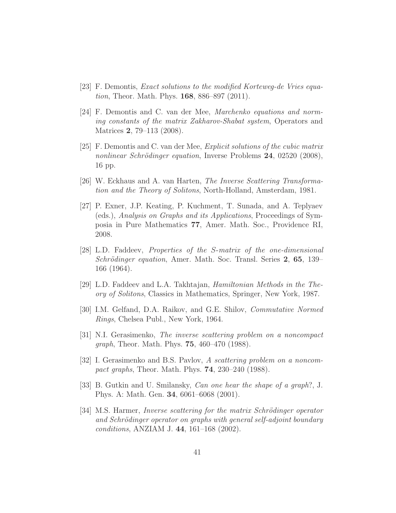- <span id="page-40-11"></span><span id="page-40-9"></span>[23] F. Demontis, Exact solutions to the modified Korteweg-de Vries equation, Theor. Math. Phys. 168, 886–897 (2011).
- [24] F. Demontis and C. van der Mee, Marchenko equations and norming constants of the matrix Zakharov-Shabat system, Operators and Matrices 2, 79–113 (2008).
- <span id="page-40-10"></span>[25] F. Demontis and C. van der Mee, Explicit solutions of the cubic matrix nonlinear Schrödinger equation, Inverse Problems 24, 02520 (2008), 16 pp.
- <span id="page-40-7"></span><span id="page-40-1"></span>[26] W. Eckhaus and A. van Harten, The Inverse Scattering Transformation and the Theory of Solitons, North-Holland, Amsterdam, 1981.
- [27] P. Exner, J.P. Keating, P. Kuchment, T. Sunada, and A. Teplyaev (eds.), Analysis on Graphs and its Applications, Proceedings of Symposia in Pure Mathematics 77, Amer. Math. Soc., Providence RI, 2008.
- <span id="page-40-6"></span>[28] L.D. Faddeev, Properties of the S-matrix of the one-dimensional Schrödinger equation, Amer. Math. Soc. Transl. Series 2, 65, 139– 166 (1964).
- <span id="page-40-8"></span><span id="page-40-0"></span>[29] L.D. Faddeev and L.A. Takhtajan, Hamiltonian Methods in the Theory of Solitons, Classics in Mathematics, Springer, New York, 1987.
- <span id="page-40-2"></span>[30] I.M. Gelfand, D.A. Raikov, and G.E. Shilov, Commutative Normed Rings, Chelsea Publ., New York, 1964.
- [31] N.I. Gerasimenko, The inverse scattering problem on a noncompact graph, Theor. Math. Phys. 75, 460–470 (1988).
- <span id="page-40-3"></span>[32] I. Gerasimenko and B.S. Pavlov, A scattering problem on a noncompact graphs, Theor. Math. Phys. 74, 230–240 (1988).
- <span id="page-40-4"></span>[33] B. Gutkin and U. Smilansky, Can one hear the shape of a graph?, J. Phys. A: Math. Gen. 34, 6061–6068 (2001).
- <span id="page-40-5"></span>[34] M.S. Harmer, *Inverse scattering for the matrix Schrödinger operator* and Schrödinger operator on graphs with general self-adjoint boundary conditions, ANZIAM J. 44, 161–168 (2002).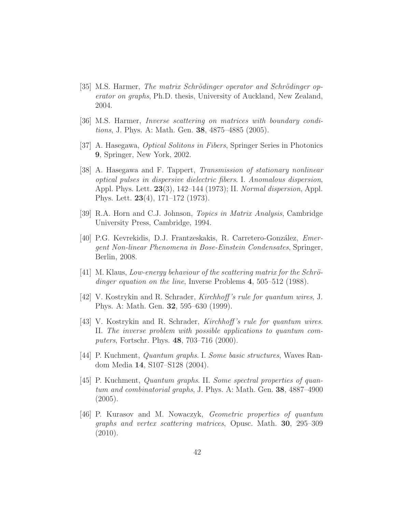- <span id="page-41-3"></span>[35] M.S. Harmer, The matrix Schrödinger operator and Schrödinger operator on graphs, Ph.D. thesis, University of Auckland, New Zealand, 2004.
- <span id="page-41-4"></span><span id="page-41-1"></span>[36] M.S. Harmer, Inverse scattering on matrices with boundary conditions, J. Phys. A: Math. Gen. 38, 4875–4885 (2005).
- <span id="page-41-0"></span>[37] A. Hasegawa, Optical Solitons in Fibers, Springer Series in Photonics 9, Springer, New York, 2002.
- [38] A. Hasegawa and F. Tappert, Transmission of stationary nonlinear optical pulses in dispersive dielectric fibers. I. Anomalous dispersion, Appl. Phys. Lett. **23**(3), 142–144 (1973); II. Normal dispersion, Appl. Phys. Lett. 23(4), 171–172 (1973).
- <span id="page-41-11"></span><span id="page-41-2"></span>[39] R.A. Horn and C.J. Johnson, Topics in Matrix Analysis, Cambridge University Press, Cambridge, 1994.
- [40] P.G. Kevrekidis, D.J. Frantzeskakis, R. Carretero-González, *Emer*gent Non-linear Phenomena in Bose-Einstein Condensates, Springer, Berlin, 2008.
- <span id="page-41-10"></span> $[41]$  M. Klaus, Low-energy behaviour of the scattering matrix for the Schrödinger equation on the line, Inverse Problems 4, 505–512 (1988).
- <span id="page-41-6"></span><span id="page-41-5"></span>[42] V. Kostrykin and R. Schrader, Kirchhoff 's rule for quantum wires, J. Phys. A: Math. Gen. 32, 595–630 (1999).
- [43] V. Kostrykin and R. Schrader, Kirchhoff 's rule for quantum wires. II. The inverse problem with possible applications to quantum computers, Fortschr. Phys. 48, 703–716 (2000).
- <span id="page-41-7"></span>[44] P. Kuchment, Quantum graphs. I. Some basic structures, Waves Random Media 14, S107–S128 (2004).
- <span id="page-41-8"></span>[45] P. Kuchment, Quantum graphs. II. Some spectral properties of quantum and combinatorial graphs, J. Phys. A: Math. Gen. 38, 4887–4900  $(2005).$
- <span id="page-41-9"></span>[46] P. Kurasov and M. Nowaczyk, Geometric properties of quantum graphs and vertex scattering matrices, Opusc. Math. 30, 295–309 (2010).